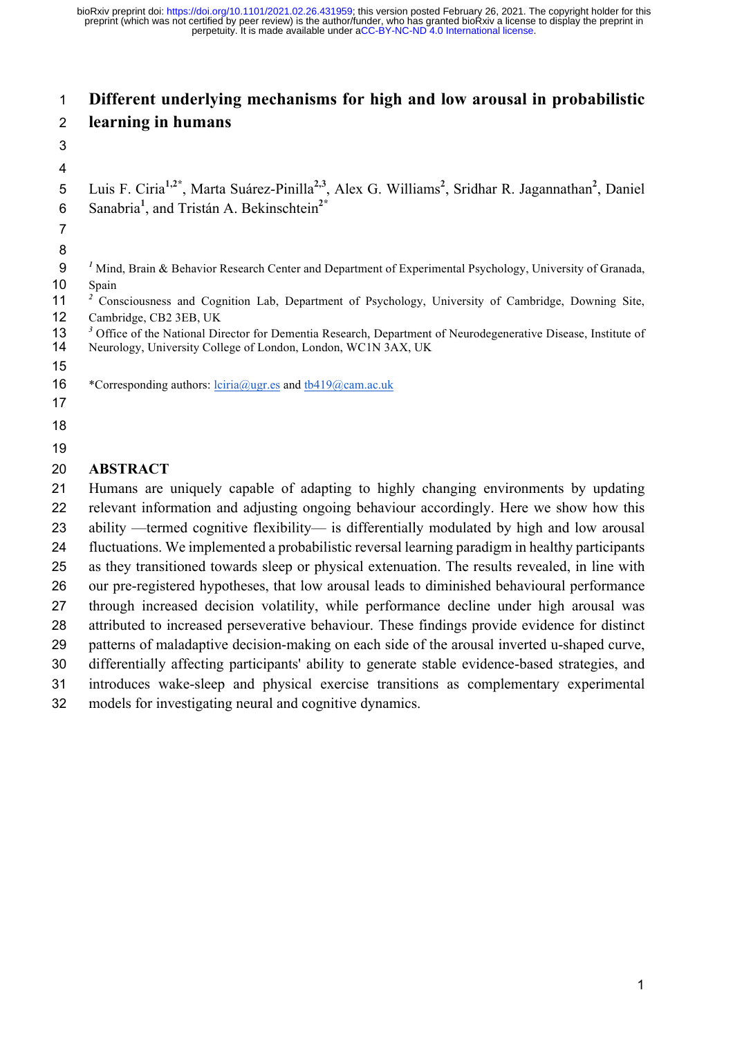# **Different underlying mechanisms for high and low arousal in probabilistic learning in humans**

 5 Luis F. Ciria<sup>1,2\*</sup>, Marta Suárez-Pinilla<sup>2,3</sup>, Alex G. Williams<sup>2</sup>, Sridhar R. Jagannathan<sup>2</sup>, Daniel Sanabria**<sup>1</sup>** , and Tristán A. Bekinschtein**2\*** *<sup>1</sup>* Mind, Brain & Behavior Research Center and Department of Experimental Psychology, University of Granada, Spain <sup>2</sup> Consciousness and Cognition Lab, Department of Psychology, University of Cambridge, Downing Site, Cambridge, CB2 3EB, UK <sup>3</sup> Office of the National Director for Dementia Research, Department of Neurodegenerative Disease, Institute of Neurology, University College of London, London, WC1N 3AX, UK Neurology, University College of London, London, WC1N 3AX, UK 16 \*Corresponding authors:  $lciria@ugr.es$  and  $tb419@cam.ac.uk$  **ABSTRACT** Humans are uniquely capable of adapting to highly changing environments by updating relevant information and adjusting ongoing behaviour accordingly. Here we show how this ability —termed cognitive flexibility— is differentially modulated by high and low arousal fluctuations. We implemented a probabilistic reversal learning paradigm in healthy participants as they transitioned towards sleep or physical extenuation. The results revealed, in line with our pre-registered hypotheses, that low arousal leads to diminished behavioural performance through increased decision volatility, while performance decline under high arousal was attributed to increased perseverative behaviour. These findings provide evidence for distinct patterns of maladaptive decision-making on each side of the arousal inverted u-shaped curve, differentially affecting participants' ability to generate stable evidence-based strategies, and

introduces wake-sleep and physical exercise transitions as complementary experimental

models for investigating neural and cognitive dynamics.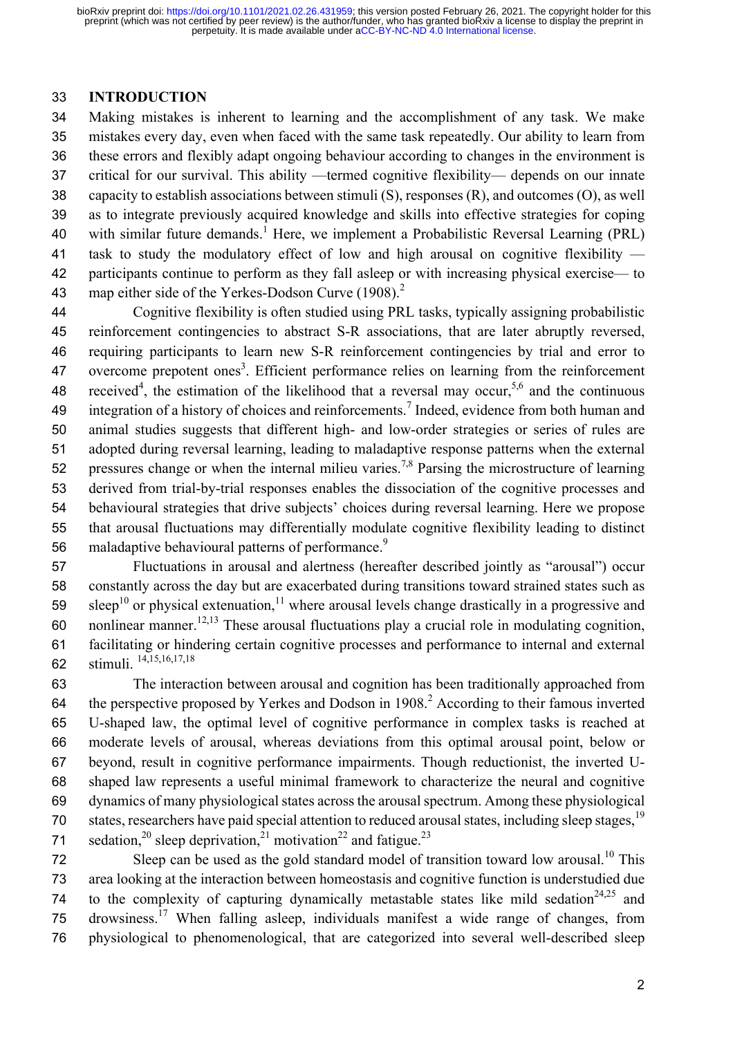#### **INTRODUCTION**

 Making mistakes is inherent to learning and the accomplishment of any task. We make mistakes every day, even when faced with the same task repeatedly. Our ability to learn from these errors and flexibly adapt ongoing behaviour according to changes in the environment is critical for our survival. This ability —termed cognitive flexibility— depends on our innate capacity to establish associations between stimuli (S), responses (R), and outcomes (O), as well as to integrate previously acquired knowledge and skills into effective strategies for coping 40 with similar future demands.<sup>1</sup> Here, we implement a Probabilistic Reversal Learning (PRL) task to study the modulatory effect of low and high arousal on cognitive flexibility — participants continue to perform as they fall asleep or with increasing physical exercise— to 43 map either side of the Yerkes-Dodson Curve  $(1908)^2$ 

 Cognitive flexibility is often studied using PRL tasks, typically assigning probabilistic reinforcement contingencies to abstract S-R associations, that are later abruptly reversed, requiring participants to learn new S-R reinforcement contingencies by trial and error to overcome prepotent ones<sup>3</sup>. Efficient performance relies on learning from the reinforcement 48 received<sup>4</sup>, the estimation of the likelihood that a reversal may occur,<sup>5,6</sup> and the continuous 49 integration of a history of choices and reinforcements.<sup>7</sup> Indeed, evidence from both human and animal studies suggests that different high- and low-order strategies or series of rules are adopted during reversal learning, leading to maladaptive response patterns when the external 52 pressures change or when the internal milieu varies.<sup>7,8</sup> Parsing the microstructure of learning derived from trial-by-trial responses enables the dissociation of the cognitive processes and behavioural strategies that drive subjects' choices during reversal learning. Here we propose that arousal fluctuations may differentially modulate cognitive flexibility leading to distinct 56 maladaptive behavioural patterns of performance.<sup>9</sup>

 Fluctuations in arousal and alertness (hereafter described jointly as "arousal") occur constantly across the day but are exacerbated during transitions toward strained states such as 59 sleep<sup>10</sup> or physical extenuation,<sup>11</sup> where arousal levels change drastically in a progressive and 60 nonlinear manner.<sup>12,13</sup> These arousal fluctuations play a crucial role in modulating cognition, facilitating or hindering certain cognitive processes and performance to internal and external stimuli. <sup>14</sup>**,**15**,**16**,**17**,**<sup>18</sup>

 The interaction between arousal and cognition has been traditionally approached from 64 the perspective proposed by Yerkes and Dodson in  $1908<sup>2</sup>$  According to their famous inverted U-shaped law, the optimal level of cognitive performance in complex tasks is reached at moderate levels of arousal, whereas deviations from this optimal arousal point, below or beyond, result in cognitive performance impairments. Though reductionist, the inverted U- shaped law represents a useful minimal framework to characterize the neural and cognitive dynamics of many physiological states across the arousal spectrum. Among these physiological 70 states, researchers have paid special attention to reduced arousal states, including sleep stages, <sup>19</sup> 71 sedation,<sup>20</sup> sleep deprivation,<sup>21</sup> motivation<sup>22</sup> and fatigue.<sup>23</sup>

This Sleep can be used as the gold standard model of transition toward low arousal.<sup>10</sup> This area looking at the interaction between homeostasis and cognitive function is understudied due 74 to the complexity of capturing dynamically metastable states like mild sedation<sup>24,25</sup> and 75 drowsiness.<sup>17</sup> When falling asleep, individuals manifest a wide range of changes, from physiological to phenomenological, that are categorized into several well-described sleep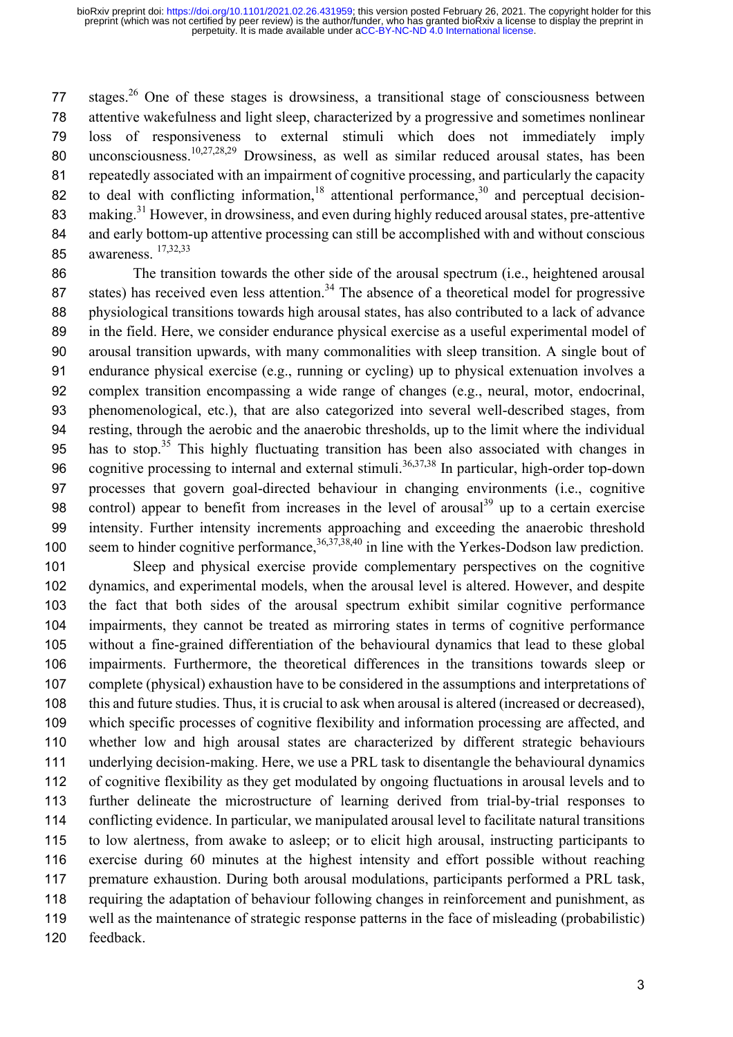77 stages.<sup>26</sup> One of these stages is drowsiness, a transitional stage of consciousness between attentive wakefulness and light sleep, characterized by a progressive and sometimes nonlinear loss of responsiveness to external stimuli which does not immediately imply 80 unconsciousness.<sup>10,27,28,29</sup> Drowsiness, as well as similar reduced arousal states, has been repeatedly associated with an impairment of cognitive processing, and particularly the capacity 82 to deal with conflicting information,<sup>18</sup> attentional performance,<sup>30</sup> and perceptual decision-83 making.<sup>31</sup> However, in drowsiness, and even during highly reduced arousal states, pre-attentive and early bottom-up attentive processing can still be accomplished with and without conscious awareness. 17**,**32**,**<sup>33</sup>

 The transition towards the other side of the arousal spectrum (i.e., heightened arousal 87 states) has received even less attention.<sup>34</sup> The absence of a theoretical model for progressive physiological transitions towards high arousal states, has also contributed to a lack of advance in the field. Here, we consider endurance physical exercise as a useful experimental model of arousal transition upwards, with many commonalities with sleep transition. A single bout of endurance physical exercise (e.g., running or cycling) up to physical extenuation involves a complex transition encompassing a wide range of changes (e.g., neural, motor, endocrinal, phenomenological, etc.), that are also categorized into several well-described stages, from resting, through the aerobic and the anaerobic thresholds, up to the limit where the individual 95 has to stop.<sup>35</sup> This highly fluctuating transition has been also associated with changes in 96 cognitive processing to internal and external stimuli.<sup>36,37,38</sup> In particular, high-order top-down processes that govern goal-directed behaviour in changing environments (i.e., cognitive 98 control) appear to benefit from increases in the level of arousal<sup>39</sup> up to a certain exercise intensity. Further intensity increments approaching and exceeding the anaerobic threshold 100 seem to hinder cognitive performance,<sup>36,37,38,40</sup> in line with the Yerkes-Dodson law prediction.

 Sleep and physical exercise provide complementary perspectives on the cognitive dynamics, and experimental models, when the arousal level is altered. However, and despite the fact that both sides of the arousal spectrum exhibit similar cognitive performance impairments, they cannot be treated as mirroring states in terms of cognitive performance without a fine-grained differentiation of the behavioural dynamics that lead to these global impairments. Furthermore, the theoretical differences in the transitions towards sleep or complete (physical) exhaustion have to be considered in the assumptions and interpretations of this and future studies. Thus, it is crucial to ask when arousal is altered (increased or decreased), which specific processes of cognitive flexibility and information processing are affected, and whether low and high arousal states are characterized by different strategic behaviours underlying decision-making. Here, we use a PRL task to disentangle the behavioural dynamics of cognitive flexibility as they get modulated by ongoing fluctuations in arousal levels and to further delineate the microstructure of learning derived from trial-by-trial responses to conflicting evidence. In particular, we manipulated arousal level to facilitate natural transitions to low alertness, from awake to asleep; or to elicit high arousal, instructing participants to exercise during 60 minutes at the highest intensity and effort possible without reaching premature exhaustion. During both arousal modulations, participants performed a PRL task, requiring the adaptation of behaviour following changes in reinforcement and punishment, as well as the maintenance of strategic response patterns in the face of misleading (probabilistic) feedback.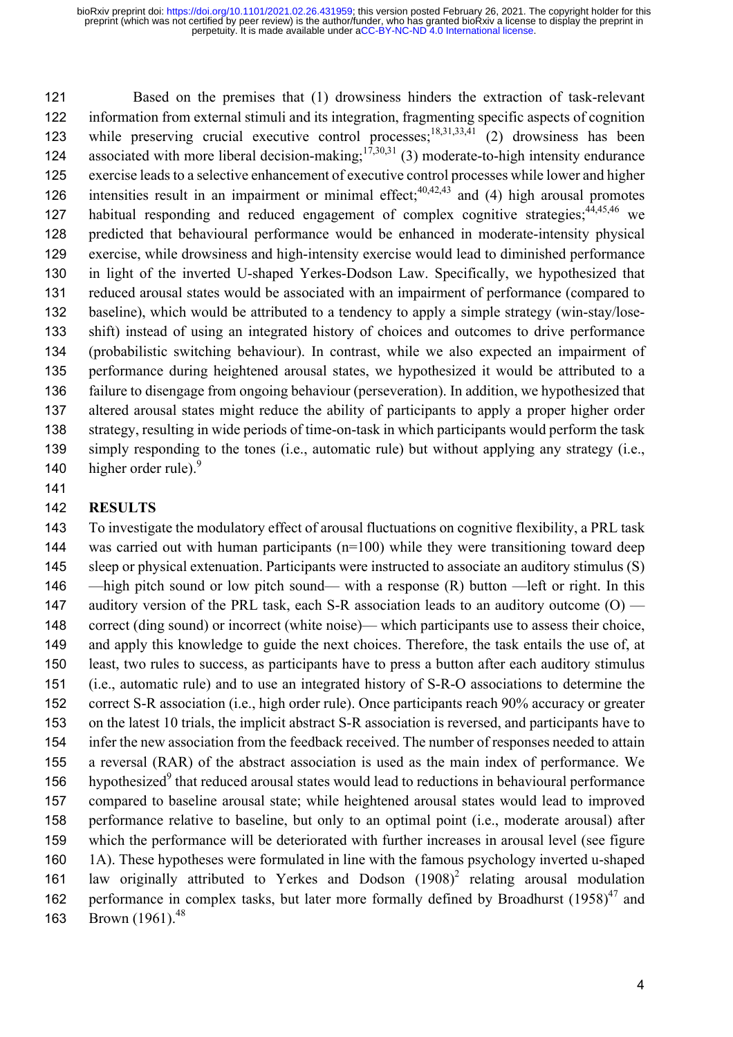Based on the premises that (1) drowsiness hinders the extraction of task-relevant information from external stimuli and its integration, fragmenting specific aspects of cognition 123 while preserving crucial executive control processes;<sup>18,31,33,41</sup> (2) drowsiness has been 124 associated with more liberal decision-making;<sup>17,30,31</sup> (3) moderate-to-high intensity endurance exercise leads to a selective enhancement of executive control processes while lower and higher 126 intensities result in an impairment or minimal effect;<sup>40,42,43</sup> and (4) high arousal promotes 127 habitual responding and reduced engagement of complex cognitive strategies; <sup>44,45,46</sup> we predicted that behavioural performance would be enhanced in moderate-intensity physical exercise, while drowsiness and high-intensity exercise would lead to diminished performance in light of the inverted U-shaped Yerkes-Dodson Law. Specifically, we hypothesized that reduced arousal states would be associated with an impairment of performance (compared to baseline), which would be attributed to a tendency to apply a simple strategy (win-stay/lose- shift) instead of using an integrated history of choices and outcomes to drive performance (probabilistic switching behaviour). In contrast, while we also expected an impairment of performance during heightened arousal states, we hypothesized it would be attributed to a failure to disengage from ongoing behaviour (perseveration). In addition, we hypothesized that altered arousal states might reduce the ability of participants to apply a proper higher order strategy, resulting in wide periods of time-on-task in which participants would perform the task simply responding to the tones (i.e., automatic rule) but without applying any strategy (i.e., 140 higher order rule).

### **RESULTS**

 To investigate the modulatory effect of arousal fluctuations on cognitive flexibility, a PRL task was carried out with human participants (n=100) while they were transitioning toward deep sleep or physical extenuation. Participants were instructed to associate an auditory stimulus (S) —high pitch sound or low pitch sound— with a response (R) button —left or right. In this 147 auditory version of the PRL task, each S-R association leads to an auditory outcome  $(0)$  — 148 correct (ding sound) or incorrect (white noise)— which participants use to assess their choice, and apply this knowledge to guide the next choices. Therefore, the task entails the use of, at least, two rules to success, as participants have to press a button after each auditory stimulus (i.e., automatic rule) and to use an integrated history of S-R-O associations to determine the correct S-R association (i.e., high order rule). Once participants reach 90% accuracy or greater on the latest 10 trials, the implicit abstract S-R association is reversed, and participants have to infer the new association from the feedback received. The number of responses needed to attain a reversal (RAR) of the abstract association is used as the main index of performance. We 156 hypothesized that reduced arousal states would lead to reductions in behavioural performance compared to baseline arousal state; while heightened arousal states would lead to improved performance relative to baseline, but only to an optimal point (i.e., moderate arousal) after which the performance will be deteriorated with further increases in arousal level (see figure 1A). These hypotheses were formulated in line with the famous psychology inverted u-shaped 161 law originally attributed to Yerkes and Dodson  $(1908)^2$  relating arousal modulation 162 performance in complex tasks, but later more formally defined by Broadhurst  $(1958)^{47}$  and 163 Brown (1961).<sup>48</sup>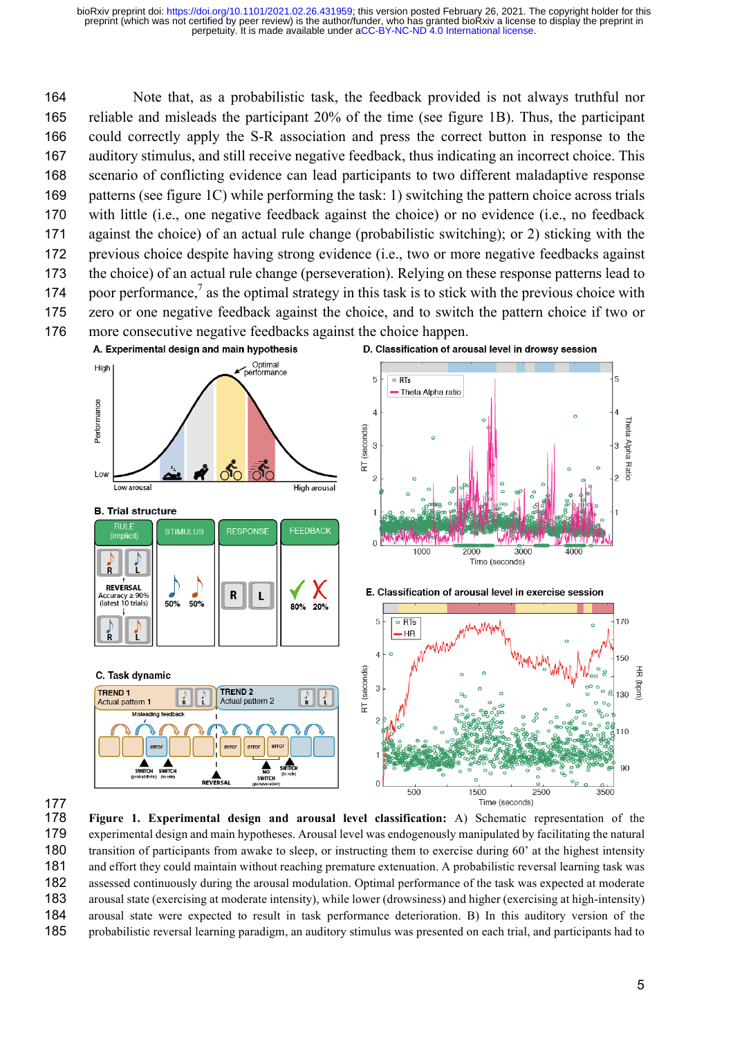Note that, as a probabilistic task, the feedback provided is not always truthful nor reliable and misleads the participant 20% of the time (see figure 1B). Thus, the participant could correctly apply the S-R association and press the correct button in response to the auditory stimulus, and still receive negative feedback, thus indicating an incorrect choice. This scenario of conflicting evidence can lead participants to two different maladaptive response patterns (see figure 1C) while performing the task: 1) switching the pattern choice across trials with little (i.e., one negative feedback against the choice) or no evidence (i.e., no feedback against the choice) of an actual rule change (probabilistic switching); or 2) sticking with the previous choice despite having strong evidence (i.e., two or more negative feedbacks against the choice) of an actual rule change (perseveration). Relying on these response patterns lead to 174 boor performance,<sup>7</sup> as the optimal strategy in this task is to stick with the previous choice with zero or one negative feedback against the choice, and to switch the pattern choice if two or more consecutive negative feedbacks against the choice happen.





 **Figure 1. Experimental design and arousal level classification:** A) Schematic representation of the experimental design and main hypotheses. Arousal level was endogenously manipulated by facilitating the natural transition of participants from awake to sleep, or instructing them to exercise during 60' at the highest intensity and effort they could maintain without reaching premature extenuation. A probabilistic reversal learning task was assessed continuously during the arousal modulation. Optimal performance of the task was expected at moderate arousal state (exercising at moderate intensity), while lower (drowsiness) and higher (exercising at high-intensity) arousal state were expected to result in task performance deterioration. B) In this auditory version of the probabilistic reversal learning paradigm, an auditory stimulus was presented on each trial, and participants had to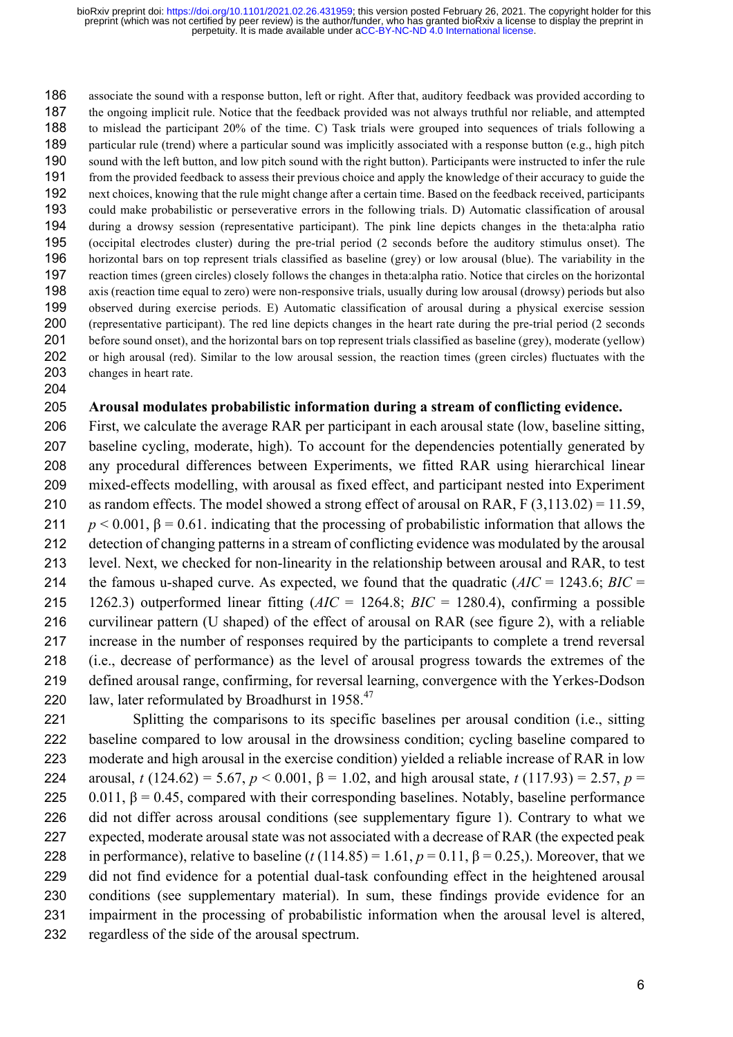associate the sound with a response button, left or right. After that, auditory feedback was provided according to the ongoing implicit rule. Notice that the feedback provided was not always truthful nor reliable, and attempted to mislead the participant 20% of the time. C) Task trials were grouped into sequences of trials following a particular rule (trend) where a particular sound was implicitly associated with a response button (e.g., high pitch sound with the left button, and low pitch sound with the right button). Participants were instructed to infer the rule from the provided feedback to assess their previous choice and apply the knowledge of their accuracy to guide the next choices, knowing that the rule might change after a certain time. Based on the feedback received, participants could make probabilistic or perseverative errors in the following trials. D) Automatic classification of arousal during a drowsy session (representative participant). The pink line depicts changes in the theta:alpha ratio (occipital electrodes cluster) during the pre-trial period (2 seconds before the auditory stimulus onset). The horizontal bars on top represent trials classified as baseline (grey) or low arousal (blue). The variability in the reaction times (green circles) closely follows the changes in theta:alpha ratio. Notice that circles on the horizontal axis (reaction time equal to zero) were non-responsive trials, usually during low arousal (drowsy) periods but also observed during exercise periods. E) Automatic classification of arousal during a physical exercise session (representative participant). The red line depicts changes in the heart rate during the pre-trial period (2 seconds before sound onset), and the horizontal bars on top represent trials classified as baseline (grey), moderate (yellow) or high arousal (red). Similar to the low arousal session, the reaction times (green circles) fluctuates with the changes in heart rate.

#### **Arousal modulates probabilistic information during a stream of conflicting evidence.**

 First, we calculate the average RAR per participant in each arousal state (low, baseline sitting, baseline cycling, moderate, high). To account for the dependencies potentially generated by any procedural differences between Experiments, we fitted RAR using hierarchical linear mixed-effects modelling, with arousal as fixed effect, and participant nested into Experiment as random effects. The model showed a strong effect of arousal on RAR, F (3,113.02) = 11.59, *p* < 0.001,  $\beta$  = 0.61. indicating that the processing of probabilistic information that allows the detection of changing patterns in a stream of conflicting evidence was modulated by the arousal level. Next, we checked for non-linearity in the relationship between arousal and RAR, to test the famous u-shaped curve. As expected, we found that the quadratic (*AIC* = 1243.6; *BIC* = 1262.3) outperformed linear fitting (*AIC* = 1264.8; *BIC* = 1280.4), confirming a possible curvilinear pattern (U shaped) of the effect of arousal on RAR (see figure 2), with a reliable increase in the number of responses required by the participants to complete a trend reversal (i.e., decrease of performance) as the level of arousal progress towards the extremes of the defined arousal range, confirming, for reversal learning, convergence with the Yerkes-Dodson 220 law, later reformulated by Broadhurst in  $1958<sup>47</sup>$ 

 Splitting the comparisons to its specific baselines per arousal condition (i.e., sitting baseline compared to low arousal in the drowsiness condition; cycling baseline compared to moderate and high arousal in the exercise condition) yielded a reliable increase of RAR in low 224 arousal, *t* (124.62) = 5.67,  $p < 0.001$ ,  $\beta = 1.02$ , and high arousal state, *t* (117.93) = 2.57,  $p =$ 225 0.011,  $\beta$  = 0.45, compared with their corresponding baselines. Notably, baseline performance did not differ across arousal conditions (see supplementary figure 1). Contrary to what we expected, moderate arousal state was not associated with a decrease of RAR (the expected peak 228 in performance), relative to baseline  $(t(114.85) = 1.61, p = 0.11, \beta = 0.25)$ . Moreover, that we did not find evidence for a potential dual-task confounding effect in the heightened arousal conditions (see supplementary material). In sum, these findings provide evidence for an impairment in the processing of probabilistic information when the arousal level is altered, regardless of the side of the arousal spectrum.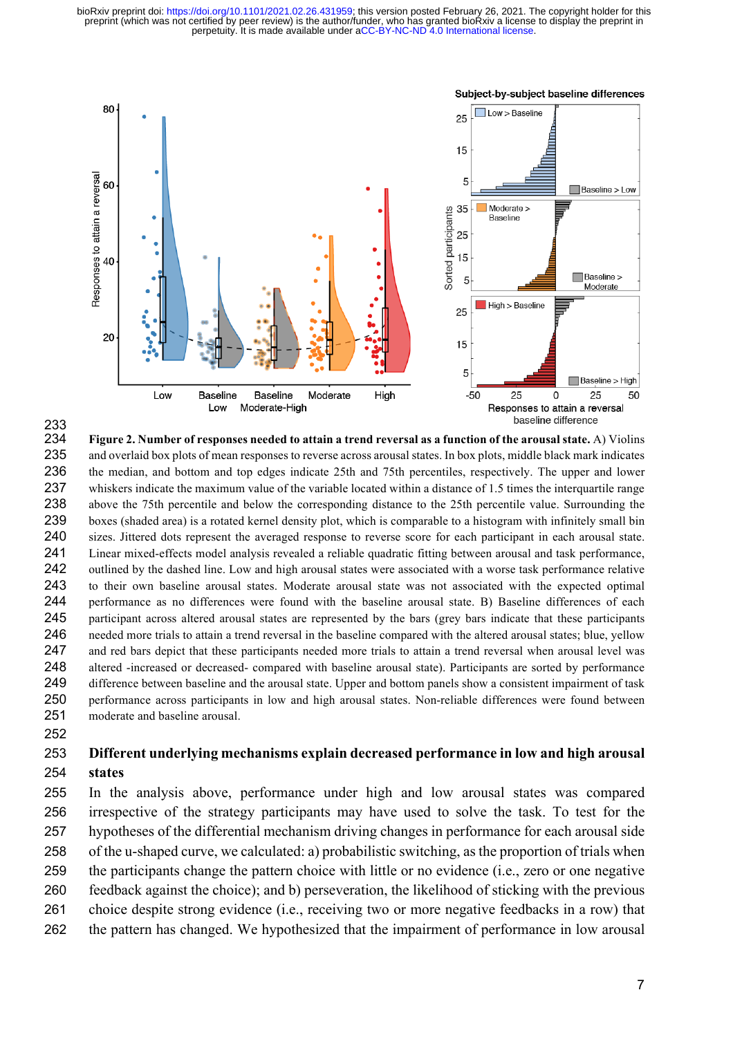

#### **Figure 2. Number of responses needed to attain a trend reversal as a function of the arousal state.** A) Violins and overlaid box plots of mean responses to reverse across arousal states. In box plots, middle black mark indicates the median, and bottom and top edges indicate 25th and 75th percentiles, respectively. The upper and lower whiskers indicate the maximum value of the variable located within a distance of 1.5 times the interquartile range above the 75th percentile and below the corresponding distance to the 25th percentile value. Surrounding the boxes (shaded area) is a rotated kernel density plot, which is comparable to a histogram with infinitely small bin sizes. Jittered dots represent the averaged response to reverse score for each participant in each arousal state. Linear mixed-effects model analysis revealed a reliable quadratic fitting between arousal and task performance, 242 outlined by the dashed line. Low and high arousal states were associated with a worse task performance relative to their own baseline arousal states. Moderate arousal state was not associated with the expected optimal performance as no differences were found with the baseline arousal state. B) Baseline differences of each participant across altered arousal states are represented by the bars (grey bars indicate that these participants needed more trials to attain a trend reversal in the baseline compared with the altered arousal states; blue, yellow and red bars depict that these participants needed more trials to attain a trend reversal when arousal level was altered -increased or decreased- compared with baseline arousal state). Participants are sorted by performance difference between baseline and the arousal state. Upper and bottom panels show a consistent impairment of task performance across participants in low and high arousal states. Non-reliable differences were found between moderate and baseline arousal.

### **Different underlying mechanisms explain decreased performance in low and high arousal states**

 In the analysis above, performance under high and low arousal states was compared irrespective of the strategy participants may have used to solve the task. To test for the hypotheses of the differential mechanism driving changes in performance for each arousal side of the u-shaped curve, we calculated: a) probabilistic switching, as the proportion of trials when the participants change the pattern choice with little or no evidence (i.e., zero or one negative feedback against the choice); and b) perseveration, the likelihood of sticking with the previous choice despite strong evidence (i.e., receiving two or more negative feedbacks in a row) that the pattern has changed. We hypothesized that the impairment of performance in low arousal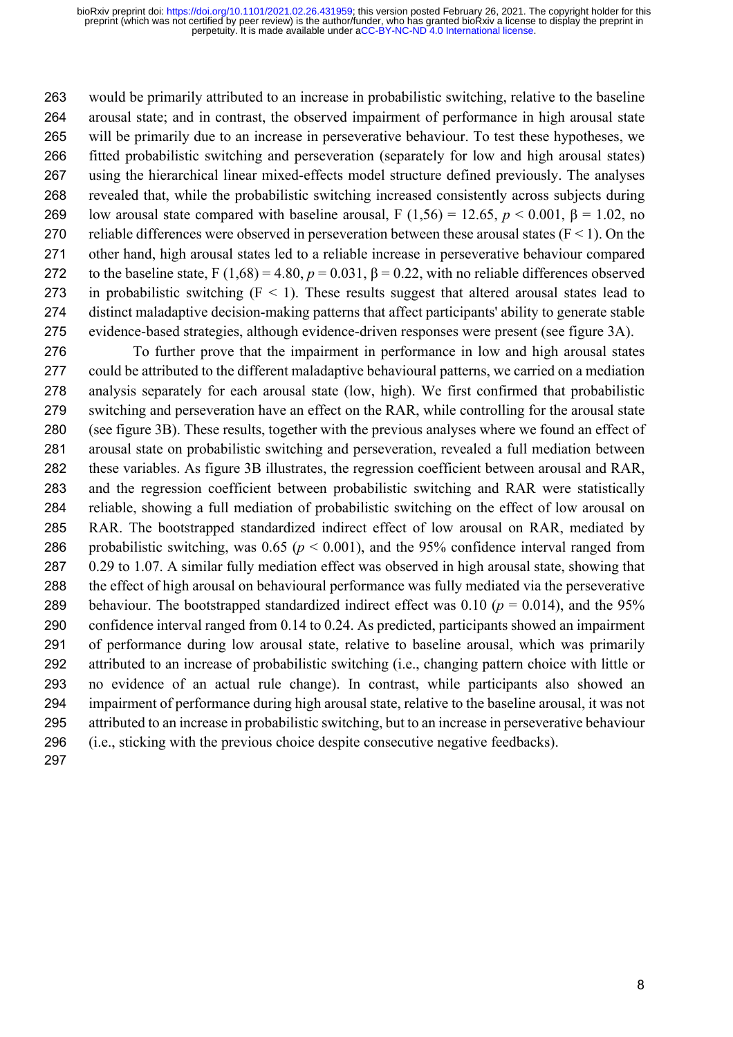would be primarily attributed to an increase in probabilistic switching, relative to the baseline arousal state; and in contrast, the observed impairment of performance in high arousal state will be primarily due to an increase in perseverative behaviour. To test these hypotheses, we fitted probabilistic switching and perseveration (separately for low and high arousal states) using the hierarchical linear mixed-effects model structure defined previously. The analyses revealed that, while the probabilistic switching increased consistently across subjects during 269 low arousal state compared with baseline arousal, F (1,56) = 12.65,  $p < 0.001$ ,  $\beta = 1.02$ , no 270 reliable differences were observed in perseveration between these arousal states  $(F < 1)$ . On the other hand, high arousal states led to a reliable increase in perseverative behaviour compared 272 to the baseline state, F  $(1,68) = 4.80$ ,  $p = 0.031$ ,  $\beta = 0.22$ , with no reliable differences observed 273 in probabilistic switching  $(F \le 1)$ . These results suggest that altered arousal states lead to distinct maladaptive decision-making patterns that affect participants' ability to generate stable evidence-based strategies, although evidence-driven responses were present (see figure 3A).

 To further prove that the impairment in performance in low and high arousal states could be attributed to the different maladaptive behavioural patterns, we carried on a mediation analysis separately for each arousal state (low, high). We first confirmed that probabilistic switching and perseveration have an effect on the RAR, while controlling for the arousal state (see figure 3B). These results, together with the previous analyses where we found an effect of arousal state on probabilistic switching and perseveration, revealed a full mediation between these variables. As figure 3B illustrates, the regression coefficient between arousal and RAR, and the regression coefficient between probabilistic switching and RAR were statistically reliable, showing a full mediation of probabilistic switching on the effect of low arousal on RAR. The bootstrapped standardized indirect effect of low arousal on RAR, mediated by 286 probabilistic switching, was  $0.65$  ( $p < 0.001$ ), and the 95% confidence interval ranged from 0.29 to 1.07. A similar fully mediation effect was observed in high arousal state, showing that the effect of high arousal on behavioural performance was fully mediated via the perseverative 289 behaviour. The bootstrapped standardized indirect effect was  $0.10$  ( $p = 0.014$ ), and the 95% confidence interval ranged from 0.14 to 0.24. As predicted, participants showed an impairment of performance during low arousal state, relative to baseline arousal, which was primarily attributed to an increase of probabilistic switching (i.e., changing pattern choice with little or no evidence of an actual rule change). In contrast, while participants also showed an impairment of performance during high arousal state, relative to the baseline arousal, it was not attributed to an increase in probabilistic switching, but to an increase in perseverative behaviour (i.e., sticking with the previous choice despite consecutive negative feedbacks).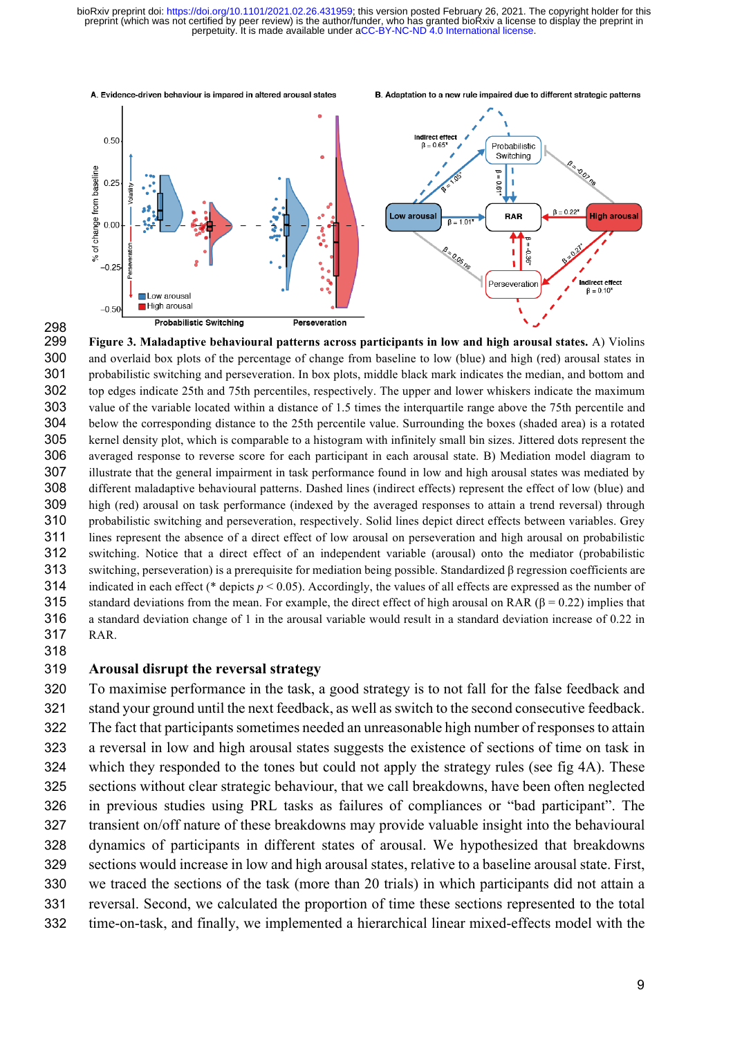

 **Figure 3. Maladaptive behavioural patterns across participants in low and high arousal states.** A) Violins and overlaid box plots of the percentage of change from baseline to low (blue) and high (red) arousal states in probabilistic switching and perseveration. In box plots, middle black mark indicates the median, and bottom and top edges indicate 25th and 75th percentiles, respectively. The upper and lower whiskers indicate the maximum value of the variable located within a distance of 1.5 times the interquartile range above the 75th percentile and below the corresponding distance to the 25th percentile value. Surrounding the boxes (shaded area) is a rotated kernel density plot, which is comparable to a histogram with infinitely small bin sizes. Jittered dots represent the averaged response to reverse score for each participant in each arousal state. B) Mediation model diagram to illustrate that the general impairment in task performance found in low and high arousal states was mediated by different maladaptive behavioural patterns. Dashed lines (indirect effects) represent the effect of low (blue) and high (red) arousal on task performance (indexed by the averaged responses to attain a trend reversal) through probabilistic switching and perseveration, respectively. Solid lines depict direct effects between variables. Grey lines represent the absence of a direct effect of low arousal on perseveration and high arousal on probabilistic switching. Notice that a direct effect of an independent variable (arousal) onto the mediator (probabilistic switching, perseveration) is a prerequisite for mediation being possible. Standardized β regression coefficients are indicated in each effect (\* depicts *p* < 0.05). Accordingly, the values of all effects are expressed as the number of 315 standard deviations from the mean. For example, the direct effect of high arousal on RAR ( $\beta$  = 0.22) implies that a standard deviation change of 1 in the arousal variable would result in a standard deviation increase of 0.22 in RAR. 

#### **Arousal disrupt the reversal strategy**

A. Evidence-driven behaviour is impared in altered arousal states

 To maximise performance in the task, a good strategy is to not fall for the false feedback and stand your ground until the next feedback, as well as switch to the second consecutive feedback. The fact that participants sometimes needed an unreasonable high number of responses to attain a reversal in low and high arousal states suggests the existence of sections of time on task in which they responded to the tones but could not apply the strategy rules (see fig 4A). These sections without clear strategic behaviour, that we call breakdowns, have been often neglected in previous studies using PRL tasks as failures of compliances or "bad participant". The transient on/off nature of these breakdowns may provide valuable insight into the behavioural dynamics of participants in different states of arousal. We hypothesized that breakdowns sections would increase in low and high arousal states, relative to a baseline arousal state. First, we traced the sections of the task (more than 20 trials) in which participants did not attain a reversal. Second, we calculated the proportion of time these sections represented to the total time-on-task, and finally, we implemented a hierarchical linear mixed-effects model with the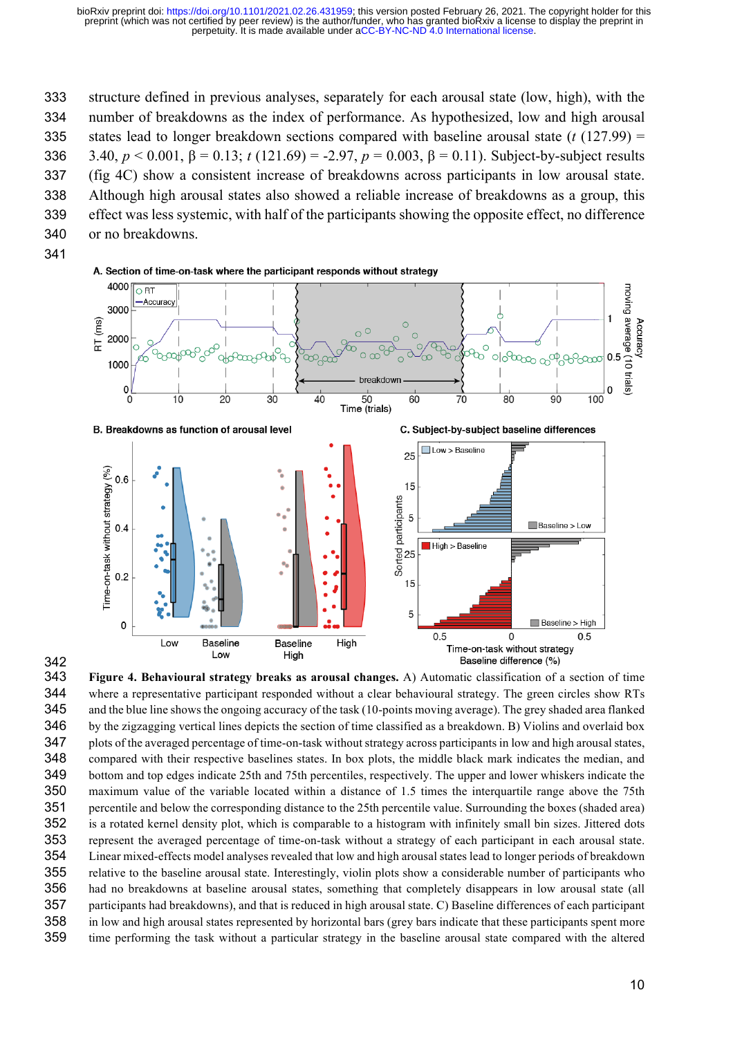structure defined in previous analyses, separately for each arousal state (low, high), with the number of breakdowns as the index of performance. As hypothesized, low and high arousal states lead to longer breakdown sections compared with baseline arousal state (*t* (127.99) = 3.40, *p* < 0.001, β = 0.13; *t* (121.69) = -2.97, *p* = 0.003, β = 0.11). Subject-by-subject results (fig 4C) show a consistent increase of breakdowns across participants in low arousal state. Although high arousal states also showed a reliable increase of breakdowns as a group, this effect was less systemic, with half of the participants showing the opposite effect, no difference or no breakdowns.





 **Figure 4. Behavioural strategy breaks as arousal changes.** A) Automatic classification of a section of time where a representative participant responded without a clear behavioural strategy. The green circles show RTs and the blue line shows the ongoing accuracy of the task (10-points moving average). The grey shaded area flanked by the zigzagging vertical lines depicts the section of time classified as a breakdown. B) Violins and overlaid box plots of the averaged percentage of time-on-task without strategy across participants in low and high arousal states, compared with their respective baselines states. In box plots, the middle black mark indicates the median, and bottom and top edges indicate 25th and 75th percentiles, respectively. The upper and lower whiskers indicate the maximum value of the variable located within a distance of 1.5 times the interquartile range above the 75th percentile and below the corresponding distance to the 25th percentile value. Surrounding the boxes (shaded area) is a rotated kernel density plot, which is comparable to a histogram with infinitely small bin sizes. Jittered dots represent the averaged percentage of time-on-task without a strategy of each participant in each arousal state. Linear mixed-effects model analyses revealed that low and high arousal states lead to longer periods of breakdown relative to the baseline arousal state. Interestingly, violin plots show a considerable number of participants who had no breakdowns at baseline arousal states, something that completely disappears in low arousal state (all participants had breakdowns), and that is reduced in high arousal state. C) Baseline differences of each participant in low and high arousal states represented by horizontal bars (grey bars indicate that these participants spent more time performing the task without a particular strategy in the baseline arousal state compared with the altered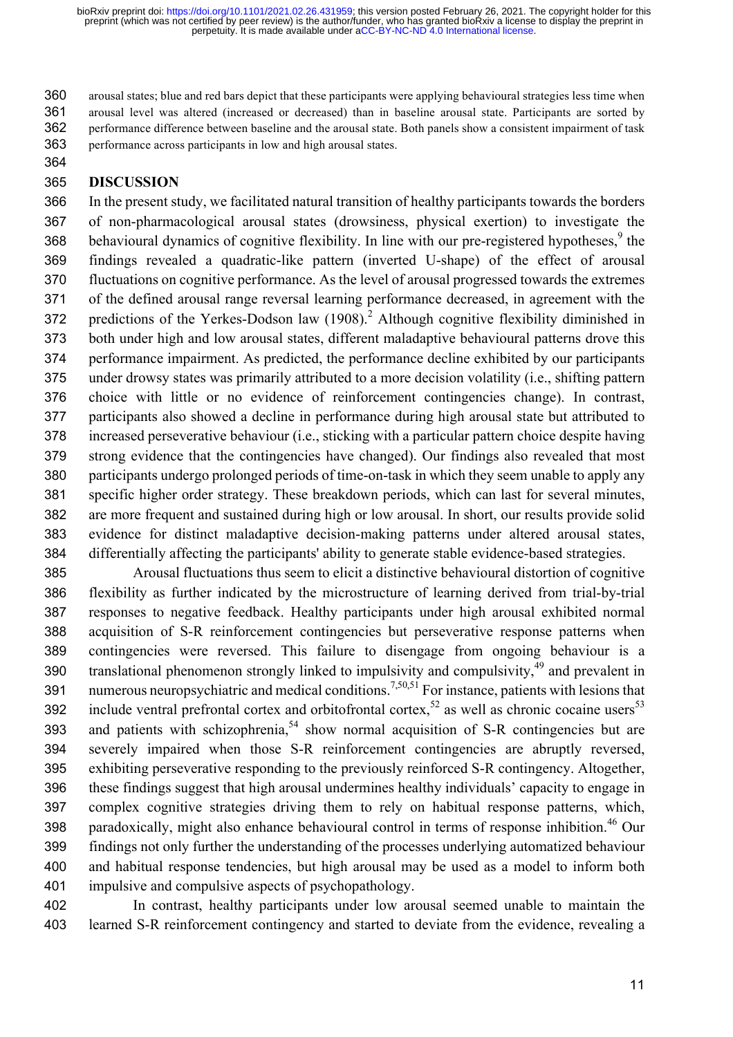arousal states; blue and red bars depict that these participants were applying behavioural strategies less time when arousal level was altered (increased or decreased) than in baseline arousal state. Participants are sorted by performance difference between baseline and the arousal state. Both panels show a consistent impairment of task performance across participants in low and high arousal states.

### **DISCUSSION**

 In the present study, we facilitated natural transition of healthy participants towards the borders of non-pharmacological arousal states (drowsiness, physical exertion) to investigate the 368 behavioural dynamics of cognitive flexibility. In line with our pre-registered hypotheses, the findings revealed a quadratic-like pattern (inverted U-shape) of the effect of arousal fluctuations on cognitive performance. As the level of arousal progressed towards the extremes of the defined arousal range reversal learning performance decreased, in agreement with the 372 predictions of the Yerkes-Dodson law  $(1908)^2$ . Although cognitive flexibility diminished in both under high and low arousal states, different maladaptive behavioural patterns drove this performance impairment. As predicted, the performance decline exhibited by our participants under drowsy states was primarily attributed to a more decision volatility (i.e., shifting pattern choice with little or no evidence of reinforcement contingencies change). In contrast, participants also showed a decline in performance during high arousal state but attributed to increased perseverative behaviour (i.e., sticking with a particular pattern choice despite having strong evidence that the contingencies have changed). Our findings also revealed that most participants undergo prolonged periods of time-on-task in which they seem unable to apply any specific higher order strategy. These breakdown periods, which can last for several minutes, are more frequent and sustained during high or low arousal. In short, our results provide solid evidence for distinct maladaptive decision-making patterns under altered arousal states, differentially affecting the participants' ability to generate stable evidence-based strategies.

 Arousal fluctuations thus seem to elicit a distinctive behavioural distortion of cognitive flexibility as further indicated by the microstructure of learning derived from trial-by-trial responses to negative feedback. Healthy participants under high arousal exhibited normal acquisition of S-R reinforcement contingencies but perseverative response patterns when contingencies were reversed. This failure to disengage from ongoing behaviour is a 390 translational phenomenon strongly linked to impulsivity and compulsivity, and prevalent in 391 numerous neuropsychiatric and medical conditions.<sup>7,50,51</sup> For instance, patients with lesions that 392 include ventral prefrontal cortex and orbitofrontal cortex,<sup>52</sup> as well as chronic cocaine users<sup>53</sup> 393 and patients with schizophrenia, show normal acquisition of S-R contingencies but are severely impaired when those S-R reinforcement contingencies are abruptly reversed, exhibiting perseverative responding to the previously reinforced S-R contingency. Altogether, these findings suggest that high arousal undermines healthy individuals' capacity to engage in complex cognitive strategies driving them to rely on habitual response patterns, which, 398 paradoxically, might also enhance behavioural control in terms of response inhibition.<sup>46</sup> Our findings not only further the understanding of the processes underlying automatized behaviour and habitual response tendencies, but high arousal may be used as a model to inform both impulsive and compulsive aspects of psychopathology.

 In contrast, healthy participants under low arousal seemed unable to maintain the learned S-R reinforcement contingency and started to deviate from the evidence, revealing a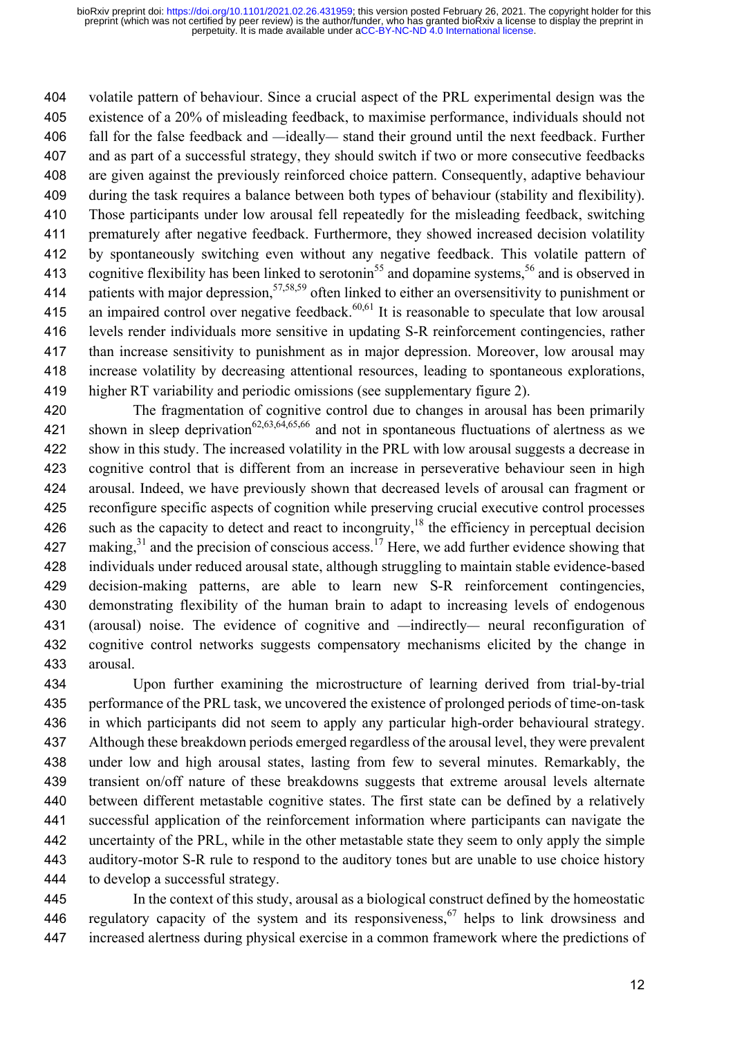volatile pattern of behaviour. Since a crucial aspect of the PRL experimental design was the existence of a 20% of misleading feedback, to maximise performance, individuals should not fall for the false feedback and —ideally— stand their ground until the next feedback. Further and as part of a successful strategy, they should switch if two or more consecutive feedbacks are given against the previously reinforced choice pattern. Consequently, adaptive behaviour during the task requires a balance between both types of behaviour (stability and flexibility). Those participants under low arousal fell repeatedly for the misleading feedback, switching prematurely after negative feedback. Furthermore, they showed increased decision volatility by spontaneously switching even without any negative feedback. This volatile pattern of 413 cognitive flexibility has been linked to serotonin<sup>55</sup> and dopamine systems,<sup>56</sup> and is observed in 414 patients with major depression,<sup>57,58,59</sup> often linked to either an oversensitivity to punishment or 415 an impaired control over negative feedback.<sup>60,61</sup> It is reasonable to speculate that low arousal levels render individuals more sensitive in updating S-R reinforcement contingencies, rather than increase sensitivity to punishment as in major depression. Moreover, low arousal may increase volatility by decreasing attentional resources, leading to spontaneous explorations, higher RT variability and periodic omissions (see supplementary figure 2).

 The fragmentation of cognitive control due to changes in arousal has been primarily 421 shown in sleep deprivation<sup>62,63,64,65,66</sup> and not in spontaneous fluctuations of alertness as we show in this study. The increased volatility in the PRL with low arousal suggests a decrease in cognitive control that is different from an increase in perseverative behaviour seen in high arousal. Indeed, we have previously shown that decreased levels of arousal can fragment or reconfigure specific aspects of cognition while preserving crucial executive control processes 426 such as the capacity to detect and react to incongruity,<sup>18</sup> the efficiency in perceptual decision 427 making, and the precision of conscious access.<sup>17</sup> Here, we add further evidence showing that individuals under reduced arousal state, although struggling to maintain stable evidence-based decision-making patterns, are able to learn new S-R reinforcement contingencies, demonstrating flexibility of the human brain to adapt to increasing levels of endogenous (arousal) noise. The evidence of cognitive and —indirectly— neural reconfiguration of cognitive control networks suggests compensatory mechanisms elicited by the change in arousal.

 Upon further examining the microstructure of learning derived from trial-by-trial performance of the PRL task, we uncovered the existence of prolonged periods of time-on-task in which participants did not seem to apply any particular high-order behavioural strategy. Although these breakdown periods emerged regardless of the arousal level, they were prevalent under low and high arousal states, lasting from few to several minutes. Remarkably, the transient on/off nature of these breakdowns suggests that extreme arousal levels alternate between different metastable cognitive states. The first state can be defined by a relatively successful application of the reinforcement information where participants can navigate the uncertainty of the PRL, while in the other metastable state they seem to only apply the simple auditory-motor S-R rule to respond to the auditory tones but are unable to use choice history to develop a successful strategy.

 In the context of this study, arousal as a biological construct defined by the homeostatic 446 regulatory capacity of the system and its responsiveness,  $\frac{67}{1}$  helps to link drowsiness and increased alertness during physical exercise in a common framework where the predictions of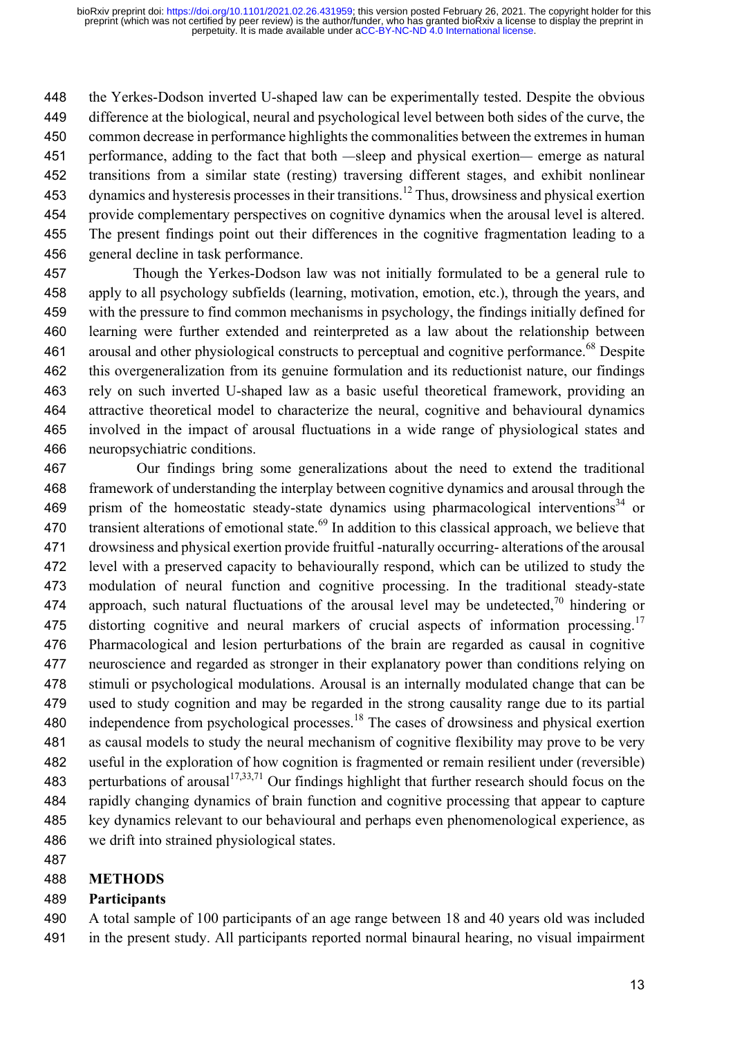the Yerkes-Dodson inverted U-shaped law can be experimentally tested. Despite the obvious difference at the biological, neural and psychological level between both sides of the curve, the common decrease in performance highlights the commonalities between the extremes in human performance, adding to the fact that both —sleep and physical exertion— emerge as natural transitions from a similar state (resting) traversing different stages, and exhibit nonlinear 453 dynamics and hysteresis processes in their transitions.<sup>12</sup> Thus, drowsiness and physical exertion provide complementary perspectives on cognitive dynamics when the arousal level is altered. The present findings point out their differences in the cognitive fragmentation leading to a general decline in task performance.

 Though the Yerkes-Dodson law was not initially formulated to be a general rule to apply to all psychology subfields (learning, motivation, emotion, etc.), through the years, and with the pressure to find common mechanisms in psychology, the findings initially defined for learning were further extended and reinterpreted as a law about the relationship between 461 arousal and other physiological constructs to perceptual and cognitive performance.<sup>68</sup> Despite this overgeneralization from its genuine formulation and its reductionist nature, our findings rely on such inverted U-shaped law as a basic useful theoretical framework, providing an attractive theoretical model to characterize the neural, cognitive and behavioural dynamics involved in the impact of arousal fluctuations in a wide range of physiological states and neuropsychiatric conditions.

 Our findings bring some generalizations about the need to extend the traditional framework of understanding the interplay between cognitive dynamics and arousal through the 469 prism of the homeostatic steady-state dynamics using pharmacological interventions<sup>34</sup> or 470 transient alterations of emotional state.<sup>69</sup> In addition to this classical approach, we believe that drowsiness and physical exertion provide fruitful -naturally occurring- alterations of the arousal level with a preserved capacity to behaviourally respond, which can be utilized to study the modulation of neural function and cognitive processing. In the traditional steady-state 474 approach, such natural fluctuations of the arousal level may be undetected,  $\frac{70}{10}$  hindering or 475 distorting cognitive and neural markers of crucial aspects of information processing.<sup>17</sup> Pharmacological and lesion perturbations of the brain are regarded as causal in cognitive neuroscience and regarded as stronger in their explanatory power than conditions relying on stimuli or psychological modulations. Arousal is an internally modulated change that can be used to study cognition and may be regarded in the strong causality range due to its partial 480 independence from psychological processes.<sup>18</sup> The cases of drowsiness and physical exertion as causal models to study the neural mechanism of cognitive flexibility may prove to be very useful in the exploration of how cognition is fragmented or remain resilient under (reversible) 483 perturbations of arousal<sup>17,33,71</sup> Our findings highlight that further research should focus on the rapidly changing dynamics of brain function and cognitive processing that appear to capture key dynamics relevant to our behavioural and perhaps even phenomenological experience, as we drift into strained physiological states.

## **METHODS**

### **Participants**

 A total sample of 100 participants of an age range between 18 and 40 years old was included in the present study. All participants reported normal binaural hearing, no visual impairment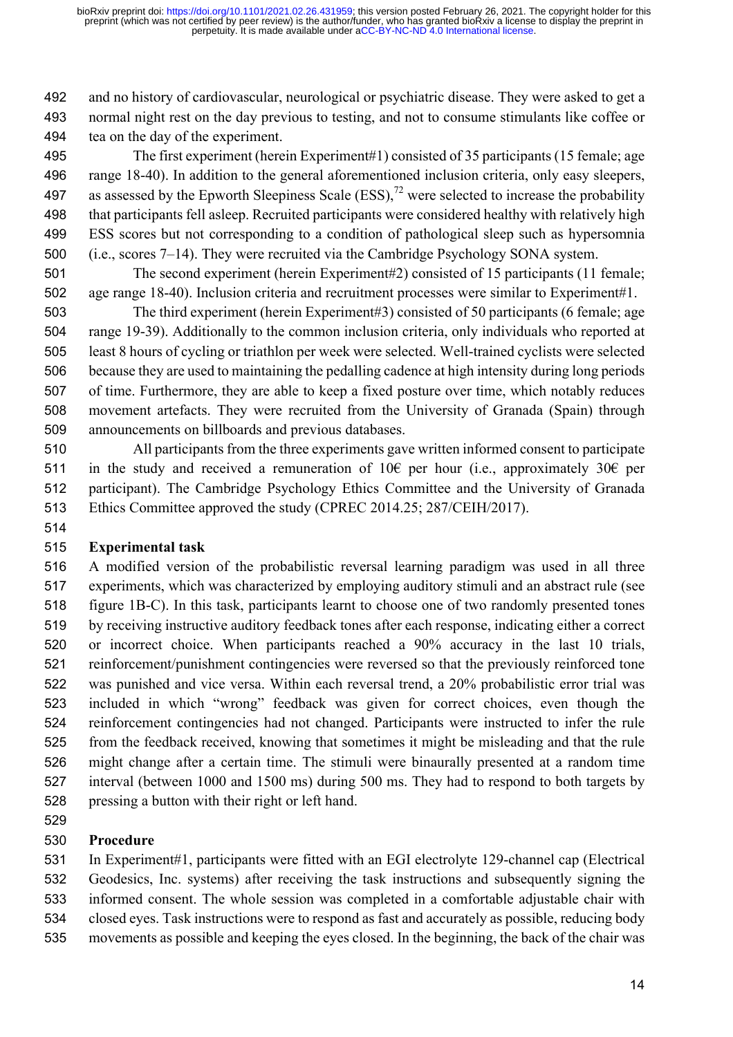and no history of cardiovascular, neurological or psychiatric disease. They were asked to get a normal night rest on the day previous to testing, and not to consume stimulants like coffee or tea on the day of the experiment.

 The first experiment (herein Experiment#1) consisted of 35 participants (15 female; age range 18-40). In addition to the general aforementioned inclusion criteria, only easy sleepers, 497 as assessed by the Epworth Sleepiness Scale  $(ESS)$ ,<sup>72</sup> were selected to increase the probability that participants fell asleep. Recruited participants were considered healthy with relatively high ESS scores but not corresponding to a condition of pathological sleep such as hypersomnia (i.e., scores 7–14). They were recruited via the Cambridge Psychology SONA system.

 The second experiment (herein Experiment#2) consisted of 15 participants (11 female; age range 18-40). Inclusion criteria and recruitment processes were similar to Experiment#1.

 The third experiment (herein Experiment#3) consisted of 50 participants (6 female; age range 19-39). Additionally to the common inclusion criteria, only individuals who reported at least 8 hours of cycling or triathlon per week were selected. Well-trained cyclists were selected because they are used to maintaining the pedalling cadence at high intensity during long periods of time. Furthermore, they are able to keep a fixed posture over time, which notably reduces movement artefacts. They were recruited from the University of Granada (Spain) through announcements on billboards and previous databases.

 All participants from the three experiments gave written informed consent to participate 511 in the study and received a remuneration of 10€ per hour (i.e., approximately 30€ per participant). The Cambridge Psychology Ethics Committee and the University of Granada Ethics Committee approved the study (CPREC 2014.25; 287/CEIH/2017).

## **Experimental task**

 A modified version of the probabilistic reversal learning paradigm was used in all three experiments, which was characterized by employing auditory stimuli and an abstract rule (see figure 1B-C). In this task, participants learnt to choose one of two randomly presented tones by receiving instructive auditory feedback tones after each response, indicating either a correct or incorrect choice. When participants reached a 90% accuracy in the last 10 trials, reinforcement/punishment contingencies were reversed so that the previously reinforced tone was punished and vice versa. Within each reversal trend, a 20% probabilistic error trial was included in which "wrong" feedback was given for correct choices, even though the reinforcement contingencies had not changed. Participants were instructed to infer the rule from the feedback received, knowing that sometimes it might be misleading and that the rule might change after a certain time. The stimuli were binaurally presented at a random time interval (between 1000 and 1500 ms) during 500 ms. They had to respond to both targets by pressing a button with their right or left hand.

## **Procedure**

 In Experiment#1, participants were fitted with an EGI electrolyte 129-channel cap (Electrical Geodesics, Inc. systems) after receiving the task instructions and subsequently signing the informed consent. The whole session was completed in a comfortable adjustable chair with

closed eyes. Task instructions were to respond as fast and accurately as possible, reducing body

movements as possible and keeping the eyes closed. In the beginning, the back of the chair was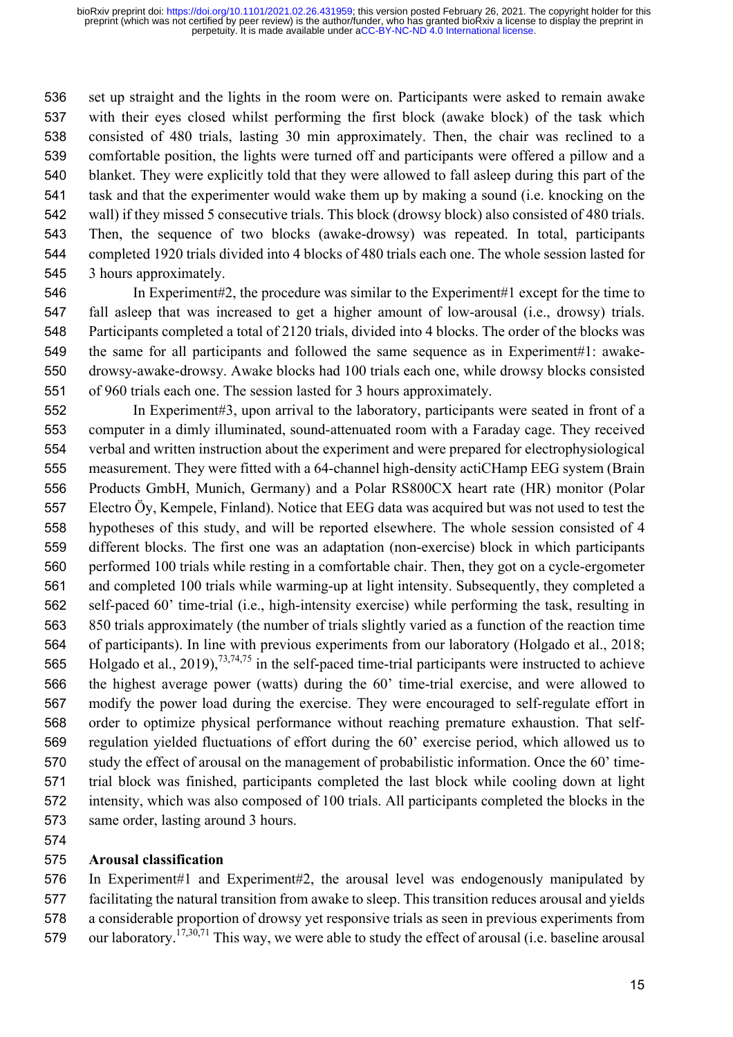set up straight and the lights in the room were on. Participants were asked to remain awake with their eyes closed whilst performing the first block (awake block) of the task which consisted of 480 trials, lasting 30 min approximately. Then, the chair was reclined to a comfortable position, the lights were turned off and participants were offered a pillow and a blanket. They were explicitly told that they were allowed to fall asleep during this part of the task and that the experimenter would wake them up by making a sound (i.e. knocking on the wall) if they missed 5 consecutive trials. This block (drowsy block) also consisted of 480 trials. Then, the sequence of two blocks (awake-drowsy) was repeated. In total, participants completed 1920 trials divided into 4 blocks of 480 trials each one. The whole session lasted for 3 hours approximately.

- In Experiment#2, the procedure was similar to the Experiment#1 except for the time to fall asleep that was increased to get a higher amount of low-arousal (i.e., drowsy) trials. Participants completed a total of 2120 trials, divided into 4 blocks. The order of the blocks was the same for all participants and followed the same sequence as in Experiment#1: awake- drowsy-awake-drowsy. Awake blocks had 100 trials each one, while drowsy blocks consisted of 960 trials each one. The session lasted for 3 hours approximately.
- In Experiment#3, upon arrival to the laboratory, participants were seated in front of a computer in a dimly illuminated, sound-attenuated room with a Faraday cage. They received verbal and written instruction about the experiment and were prepared for electrophysiological measurement. They were fitted with a 64-channel high-density actiCHamp EEG system (Brain Products GmbH, Munich, Germany) and a Polar RS800CX heart rate (HR) monitor (Polar Electro Öy, Kempele, Finland). Notice that EEG data was acquired but was not used to test the hypotheses of this study, and will be reported elsewhere. The whole session consisted of 4 different blocks. The first one was an adaptation (non-exercise) block in which participants performed 100 trials while resting in a comfortable chair. Then, they got on a cycle-ergometer and completed 100 trials while warming-up at light intensity. Subsequently, they completed a self-paced 60' time-trial (i.e., high-intensity exercise) while performing the task, resulting in 850 trials approximately (the number of trials slightly varied as a function of the reaction time of participants). In line with previous experiments from our laboratory (Holgado et al., 2018; 565 Holgado et al., 2019),<sup>73,74,75</sup> in the self-paced time-trial participants were instructed to achieve the highest average power (watts) during the 60' time-trial exercise, and were allowed to modify the power load during the exercise. They were encouraged to self-regulate effort in order to optimize physical performance without reaching premature exhaustion. That self- regulation yielded fluctuations of effort during the 60' exercise period, which allowed us to study the effect of arousal on the management of probabilistic information. Once the 60' time- trial block was finished, participants completed the last block while cooling down at light intensity, which was also composed of 100 trials. All participants completed the blocks in the same order, lasting around 3 hours.
- 

### **Arousal classification**

 In Experiment#1 and Experiment#2, the arousal level was endogenously manipulated by facilitating the natural transition from awake to sleep. This transition reduces arousal and yields a considerable proportion of drowsy yet responsive trials as seen in previous experiments from 579 our laboratory.<sup>17,30,71</sup> This way, we were able to study the effect of arousal (i.e. baseline arousal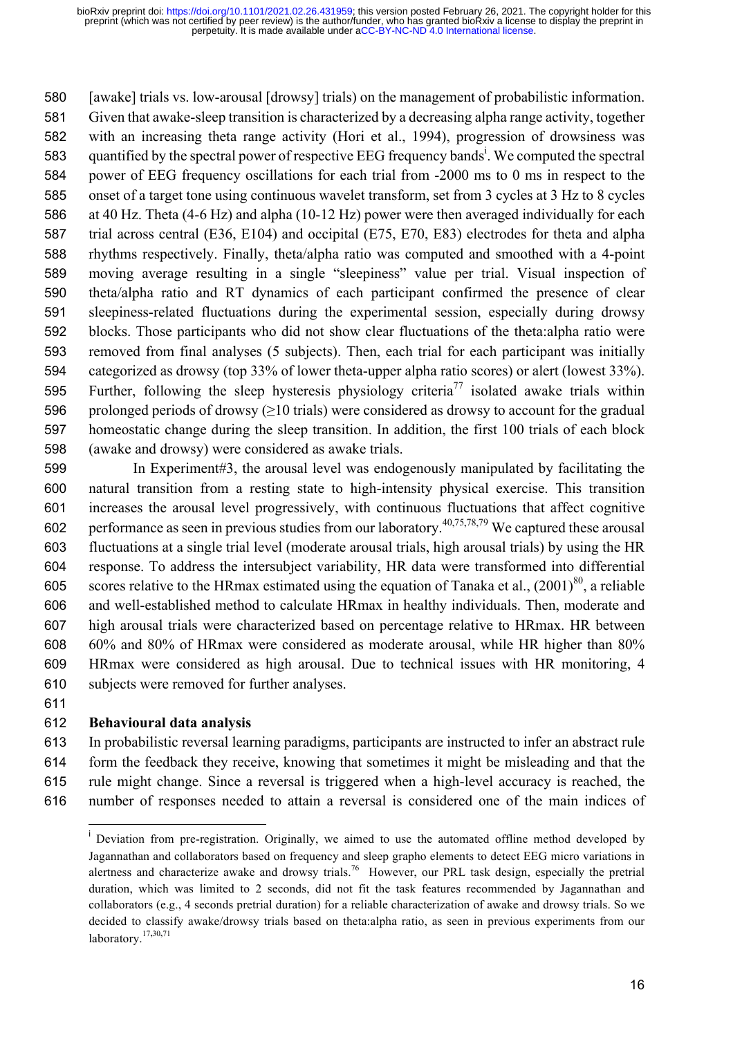[awake] trials vs. low-arousal [drowsy] trials) on the management of probabilistic information. Given that awake-sleep transition is characterized by a decreasing alpha range activity, together with an increasing theta range activity (Hori et al., 1994), progression of drowsiness was 583 quantified by the spectral power of respective EEG frequency bands<sup>i</sup>. We computed the spectral power of EEG frequency oscillations for each trial from -2000 ms to 0 ms in respect to the onset of a target tone using continuous wavelet transform, set from 3 cycles at 3 Hz to 8 cycles at 40 Hz. Theta (4-6 Hz) and alpha (10-12 Hz) power were then averaged individually for each trial across central (E36, E104) and occipital (E75, E70, E83) electrodes for theta and alpha rhythms respectively. Finally, theta/alpha ratio was computed and smoothed with a 4-point moving average resulting in a single "sleepiness" value per trial. Visual inspection of theta/alpha ratio and RT dynamics of each participant confirmed the presence of clear sleepiness-related fluctuations during the experimental session, especially during drowsy blocks. Those participants who did not show clear fluctuations of the theta:alpha ratio were removed from final analyses (5 subjects). Then, each trial for each participant was initially categorized as drowsy (top 33% of lower theta-upper alpha ratio scores) or alert (lowest 33%). 595 Further, following the sleep hysteresis physiology criteria<sup>77</sup> isolated awake trials within 596 prolonged periods of drowsy  $(≥10 \text{ trials})$  were considered as drowsy to account for the gradual homeostatic change during the sleep transition. In addition, the first 100 trials of each block (awake and drowsy) were considered as awake trials.

 In Experiment#3, the arousal level was endogenously manipulated by facilitating the natural transition from a resting state to high-intensity physical exercise. This transition increases the arousal level progressively, with continuous fluctuations that affect cognitive performance as seen in previous studies from our laboratory. <sup>40</sup>**,**75**,**78**,**<sup>79</sup> We captured these arousal fluctuations at a single trial level (moderate arousal trials, high arousal trials) by using the HR response. To address the intersubject variability, HR data were transformed into differential 605 scores relative to the HRmax estimated using the equation of Tanaka et al.,  $(2001)^{80}$ , a reliable and well-established method to calculate HRmax in healthy individuals. Then, moderate and high arousal trials were characterized based on percentage relative to HRmax. HR between 60% and 80% of HRmax were considered as moderate arousal, while HR higher than 80% HRmax were considered as high arousal. Due to technical issues with HR monitoring, 4 subjects were removed for further analyses.

#### **Behavioural data analysis**

 In probabilistic reversal learning paradigms, participants are instructed to infer an abstract rule form the feedback they receive, knowing that sometimes it might be misleading and that the rule might change. Since a reversal is triggered when a high-level accuracy is reached, the number of responses needed to attain a reversal is considered one of the main indices of

<sup>&</sup>lt;sup>i</sup> Deviation from pre-registration. Originally, we aimed to use the automated offline method developed by Jagannathan and collaborators based on frequency and sleep grapho elements to detect EEG micro variations in alertness and characterize awake and drowsy trials.<sup>76</sup> However, our PRL task design, especially the pretrial duration, which was limited to 2 seconds, did not fit the task features recommended by Jagannathan and collaborators (e.g., 4 seconds pretrial duration) for a reliable characterization of awake and drowsy trials. So we decided to classify awake/drowsy trials based on theta:alpha ratio, as seen in previous experiments from our laboratory. 17**,**30**,**71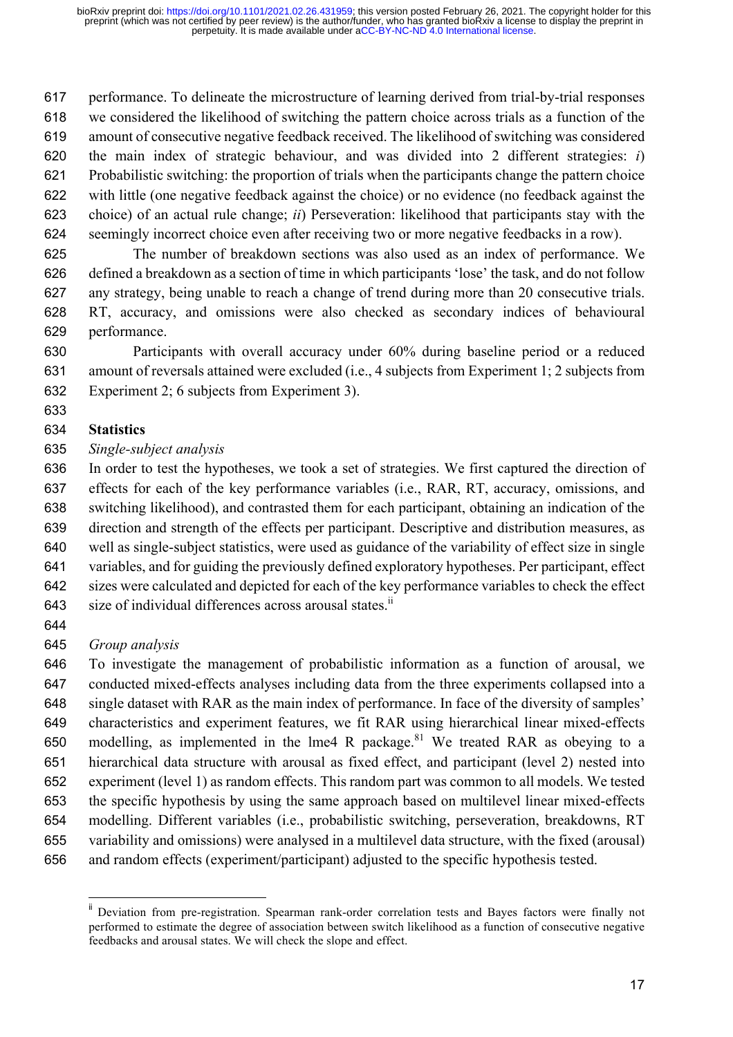performance. To delineate the microstructure of learning derived from trial-by-trial responses we considered the likelihood of switching the pattern choice across trials as a function of the amount of consecutive negative feedback received. The likelihood of switching was considered the main index of strategic behaviour, and was divided into 2 different strategies: *i*) Probabilistic switching: the proportion of trials when the participants change the pattern choice with little (one negative feedback against the choice) or no evidence (no feedback against the choice) of an actual rule change; *ii*) Perseveration: likelihood that participants stay with the seemingly incorrect choice even after receiving two or more negative feedbacks in a row).

 The number of breakdown sections was also used as an index of performance. We defined a breakdown as a section of time in which participants 'lose' the task, and do not follow any strategy, being unable to reach a change of trend during more than 20 consecutive trials. RT, accuracy, and omissions were also checked as secondary indices of behavioural performance.

 Participants with overall accuracy under 60% during baseline period or a reduced amount of reversals attained were excluded (i.e., 4 subjects from Experiment 1; 2 subjects from Experiment 2; 6 subjects from Experiment 3).

## **Statistics**

## *Single-subject analysis*

 In order to test the hypotheses, we took a set of strategies. We first captured the direction of effects for each of the key performance variables (i.e., RAR, RT, accuracy, omissions, and switching likelihood), and contrasted them for each participant, obtaining an indication of the direction and strength of the effects per participant. Descriptive and distribution measures, as well as single-subject statistics, were used as guidance of the variability of effect size in single variables, and for guiding the previously defined exploratory hypotheses. Per participant, effect sizes were calculated and depicted for each of the key performance variables to check the effect 643 size of individual differences across arousal states. $ii$ 

## *Group analysis*

 To investigate the management of probabilistic information as a function of arousal, we conducted mixed-effects analyses including data from the three experiments collapsed into a single dataset with RAR as the main index of performance. In face of the diversity of samples' characteristics and experiment features, we fit RAR using hierarchical linear mixed-effects 650 modelling, as implemented in the lme4 R package.<sup>81</sup> We treated RAR as obeying to a hierarchical data structure with arousal as fixed effect, and participant (level 2) nested into experiment (level 1) as random effects. This random part was common to all models. We tested the specific hypothesis by using the same approach based on multilevel linear mixed-effects modelling. Different variables (i.e., probabilistic switching, perseveration, breakdowns, RT variability and omissions) were analysed in a multilevel data structure, with the fixed (arousal) and random effects (experiment/participant) adjusted to the specific hypothesis tested.

Deviation from pre-registration. Spearman rank-order correlation tests and Bayes factors were finally not performed to estimate the degree of association between switch likelihood as a function of consecutive negative feedbacks and arousal states. We will check the slope and effect.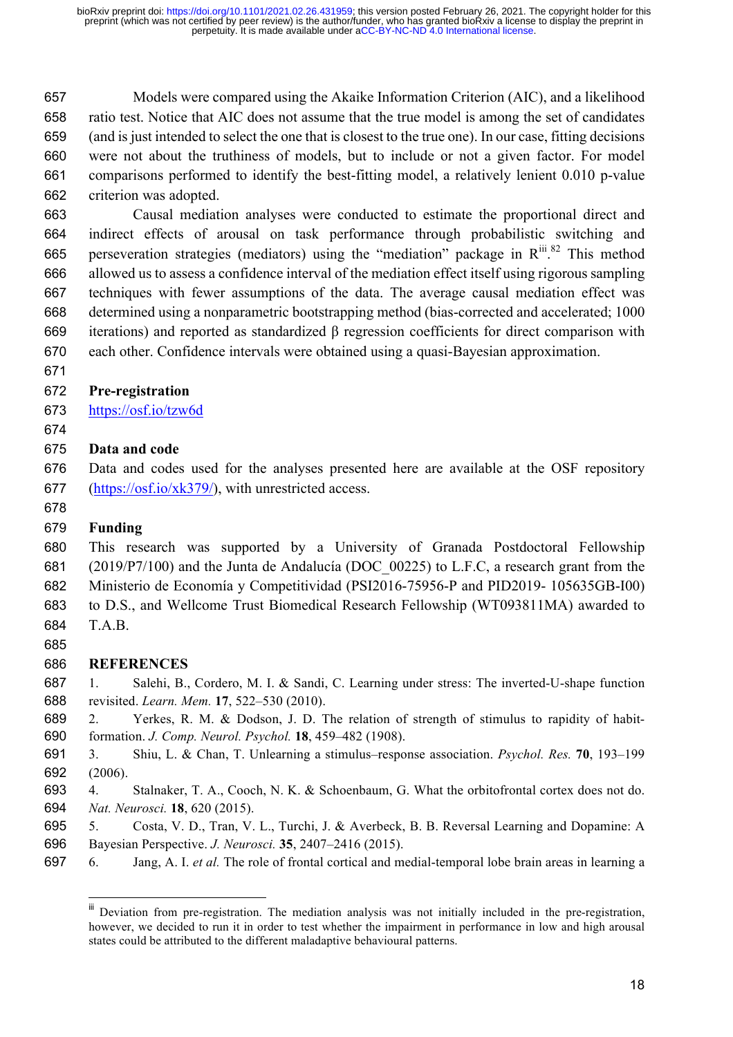Models were compared using the Akaike Information Criterion (AIC), and a likelihood ratio test. Notice that AIC does not assume that the true model is among the set of candidates (and is just intended to select the one that is closest to the true one). In our case, fitting decisions were not about the truthiness of models, but to include or not a given factor. For model comparisons performed to identify the best-fitting model, a relatively lenient 0.010 p-value criterion was adopted.

 Causal mediation analyses were conducted to estimate the proportional direct and indirect effects of arousal on task performance through probabilistic switching and 665 perseveration strategies (mediators) using the "mediation" package in  $R^{iii}$ .<sup>82</sup> This method allowed us to assess a confidence interval of the mediation effect itself using rigorous sampling techniques with fewer assumptions of the data. The average causal mediation effect was determined using a nonparametric bootstrapping method (bias-corrected and accelerated; 1000 iterations) and reported as standardized β regression coefficients for direct comparison with each other. Confidence intervals were obtained using a quasi-Bayesian approximation.

### **Pre-registration**

- https://osf.io/tzw6d
- 

### **Data and code**

 Data and codes used for the analyses presented here are available at the OSF repository (https://osf.io/xk379/), with unrestricted access.

## **Funding**

 This research was supported by a University of Granada Postdoctoral Fellowship (2019/P7/100) and the Junta de Andalucía (DOC\_00225) to L.F.C, a research grant from the Ministerio de Economía y Competitividad (PSI2016-75956-P and PID2019- 105635GB-I00) to D.S., and Wellcome Trust Biomedical Research Fellowship (WT093811MA) awarded to T.A.B.

**REFERENCES**

 1. Salehi, B., Cordero, M. I. & Sandi, C. Learning under stress: The inverted-U-shape function revisited. *Learn. Mem.* **17**, 522–530 (2010).

- 2. Yerkes, R. M. & Dodson, J. D. The relation of strength of stimulus to rapidity of habit-formation. *J. Comp. Neurol. Psychol.* **18**, 459–482 (1908).
- 3. Shiu, L. & Chan, T. Unlearning a stimulus–response association. *Psychol. Res.* **70**, 193–199 (2006).
- 4. Stalnaker, T. A., Cooch, N. K. & Schoenbaum, G. What the orbitofrontal cortex does not do. *Nat. Neurosci.* **18**, 620 (2015).
- 5. Costa, V. D., Tran, V. L., Turchi, J. & Averbeck, B. B. Reversal Learning and Dopamine: A Bayesian Perspective. *J. Neurosci.* **35**, 2407–2416 (2015).
- 6. Jang, A. I. *et al.* The role of frontal cortical and medial-temporal lobe brain areas in learning a

<sup>&</sup>lt;sup>iii</sup> Deviation from pre-registration. The mediation analysis was not initially included in the pre-registration, however, we decided to run it in order to test whether the impairment in performance in low and high arousal states could be attributed to the different maladaptive behavioural patterns.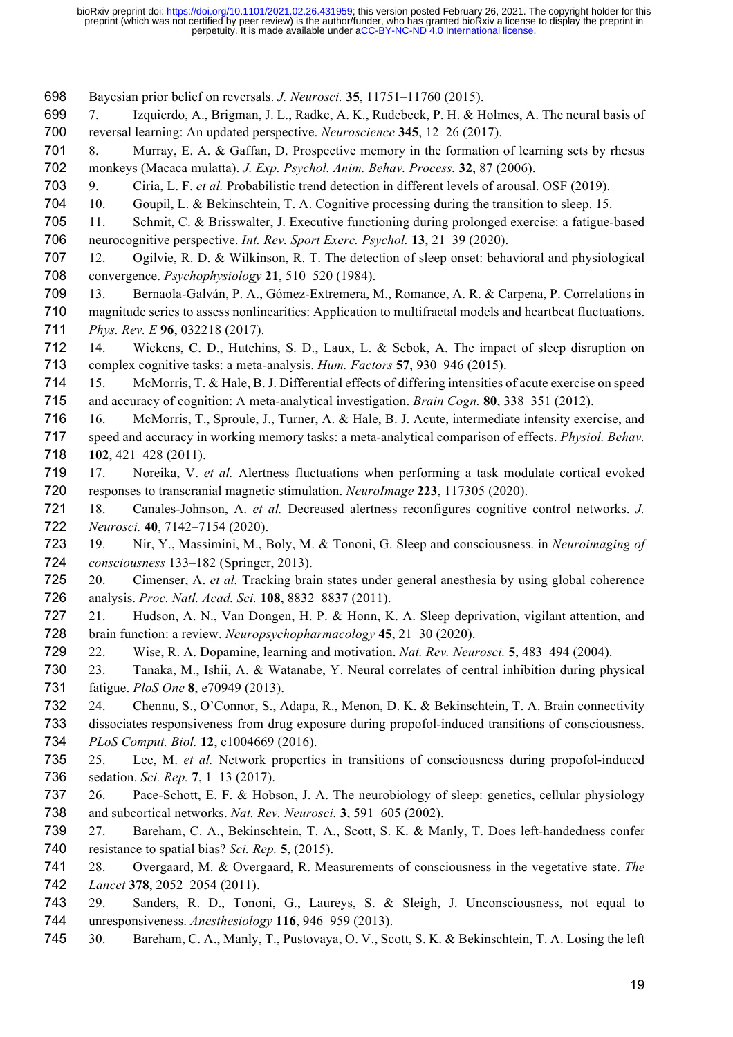Bayesian prior belief on reversals. *J. Neurosci.* **35**, 11751–11760 (2015).

- 7. Izquierdo, A., Brigman, J. L., Radke, A. K., Rudebeck, P. H. & Holmes, A. The neural basis of reversal learning: An updated perspective. *Neuroscience* **345**, 12–26 (2017).
- 8. Murray, E. A. & Gaffan, D. Prospective memory in the formation of learning sets by rhesus monkeys (Macaca mulatta). *J. Exp. Psychol. Anim. Behav. Process.* **32**, 87 (2006).
- 9. Ciria, L. F. *et al.* Probabilistic trend detection in different levels of arousal. OSF (2019).
- 10. Goupil, L. & Bekinschtein, T. A. Cognitive processing during the transition to sleep. 15.
- 11. Schmit, C. & Brisswalter, J. Executive functioning during prolonged exercise: a fatigue-based neurocognitive perspective. *Int. Rev. Sport Exerc. Psychol.* **13**, 21–39 (2020).
- 12. Ogilvie, R. D. & Wilkinson, R. T. The detection of sleep onset: behavioral and physiological convergence. *Psychophysiology* **21**, 510–520 (1984).
- 13. Bernaola-Galván, P. A., Gómez-Extremera, M., Romance, A. R. & Carpena, P. Correlations in magnitude series to assess nonlinearities: Application to multifractal models and heartbeat fluctuations. *Phys. Rev. E* **96**, 032218 (2017).
- 14. Wickens, C. D., Hutchins, S. D., Laux, L. & Sebok, A. The impact of sleep disruption on complex cognitive tasks: a meta-analysis. *Hum. Factors* **57**, 930–946 (2015).
- 15. McMorris, T. & Hale, B. J. Differential effects of differing intensities of acute exercise on speed and accuracy of cognition: A meta-analytical investigation. *Brain Cogn.* **80**, 338–351 (2012).
- 16. McMorris, T., Sproule, J., Turner, A. & Hale, B. J. Acute, intermediate intensity exercise, and speed and accuracy in working memory tasks: a meta-analytical comparison of effects. *Physiol. Behav.* **102**, 421–428 (2011).
- 17. Noreika, V. *et al.* Alertness fluctuations when performing a task modulate cortical evoked responses to transcranial magnetic stimulation. *NeuroImage* **223**, 117305 (2020).
- 18. Canales-Johnson, A. *et al.* Decreased alertness reconfigures cognitive control networks. *J. Neurosci.* **40**, 7142–7154 (2020).
- 19. Nir, Y., Massimini, M., Boly, M. & Tononi, G. Sleep and consciousness. in *Neuroimaging of consciousness* 133–182 (Springer, 2013).
- 20. Cimenser, A. *et al.* Tracking brain states under general anesthesia by using global coherence analysis. *Proc. Natl. Acad. Sci.* **108**, 8832–8837 (2011).
- 21. Hudson, A. N., Van Dongen, H. P. & Honn, K. A. Sleep deprivation, vigilant attention, and brain function: a review. *Neuropsychopharmacology* **45**, 21–30 (2020).
- 22. Wise, R. A. Dopamine, learning and motivation. *Nat. Rev. Neurosci.* **5**, 483–494 (2004).
- 23. Tanaka, M., Ishii, A. & Watanabe, Y. Neural correlates of central inhibition during physical fatigue. *PloS One* **8**, e70949 (2013).
- 24. Chennu, S., O'Connor, S., Adapa, R., Menon, D. K. & Bekinschtein, T. A. Brain connectivity dissociates responsiveness from drug exposure during propofol-induced transitions of consciousness.
- *PLoS Comput. Biol.* **12**, e1004669 (2016).
- 25. Lee, M. *et al.* Network properties in transitions of consciousness during propofol-induced sedation. *Sci. Rep.* **7**, 1–13 (2017).
- 26. Pace-Schott, E. F. & Hobson, J. A. The neurobiology of sleep: genetics, cellular physiology and subcortical networks. *Nat. Rev. Neurosci.* **3**, 591–605 (2002).
- 27. Bareham, C. A., Bekinschtein, T. A., Scott, S. K. & Manly, T. Does left-handedness confer resistance to spatial bias? *Sci. Rep.* **5**, (2015).
- 28. Overgaard, M. & Overgaard, R. Measurements of consciousness in the vegetative state. *The Lancet* **378**, 2052–2054 (2011).
- 29. Sanders, R. D., Tononi, G., Laureys, S. & Sleigh, J. Unconsciousness, not equal to unresponsiveness. *Anesthesiology* **116**, 946–959 (2013).
- 30. Bareham, C. A., Manly, T., Pustovaya, O. V., Scott, S. K. & Bekinschtein, T. A. Losing the left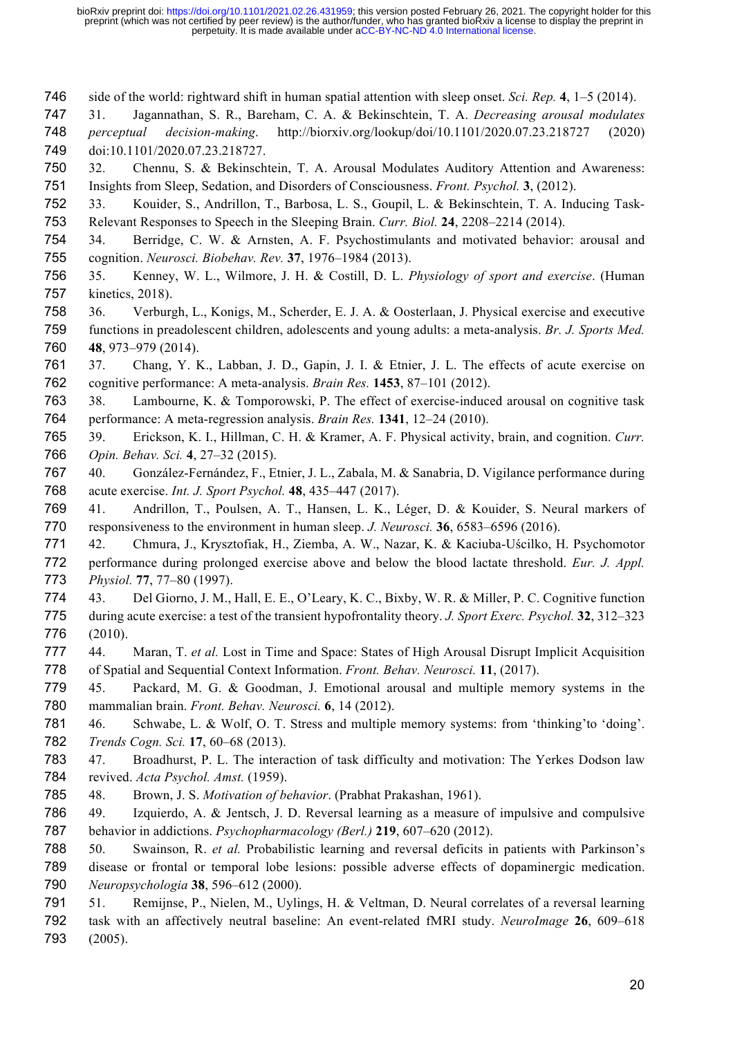- side of the world: rightward shift in human spatial attention with sleep onset. *Sci. Rep.* **4**, 1–5 (2014).
- 31. Jagannathan, S. R., Bareham, C. A. & Bekinschtein, T. A. *Decreasing arousal modulates perceptual decision-making*. http://biorxiv.org/lookup/doi/10.1101/2020.07.23.218727 (2020) doi:10.1101/2020.07.23.218727.
- 32. Chennu, S. & Bekinschtein, T. A. Arousal Modulates Auditory Attention and Awareness: Insights from Sleep, Sedation, and Disorders of Consciousness. *Front. Psychol.* **3**, (2012).
- 33. Kouider, S., Andrillon, T., Barbosa, L. S., Goupil, L. & Bekinschtein, T. A. Inducing Task-Relevant Responses to Speech in the Sleeping Brain. *Curr. Biol.* **24**, 2208–2214 (2014).
- 34. Berridge, C. W. & Arnsten, A. F. Psychostimulants and motivated behavior: arousal and cognition. *Neurosci. Biobehav. Rev.* **37**, 1976–1984 (2013).
- 35. Kenney, W. L., Wilmore, J. H. & Costill, D. L. *Physiology of sport and exercise*. (Human kinetics, 2018).
- 36. Verburgh, L., Konigs, M., Scherder, E. J. A. & Oosterlaan, J. Physical exercise and executive functions in preadolescent children, adolescents and young adults: a meta-analysis. *Br. J. Sports Med.* **48**, 973–979 (2014).
- 37. Chang, Y. K., Labban, J. D., Gapin, J. I. & Etnier, J. L. The effects of acute exercise on cognitive performance: A meta-analysis. *Brain Res.* **1453**, 87–101 (2012).
- 38. Lambourne, K. & Tomporowski, P. The effect of exercise-induced arousal on cognitive task performance: A meta-regression analysis. *Brain Res.* **1341**, 12–24 (2010).
- 39. Erickson, K. I., Hillman, C. H. & Kramer, A. F. Physical activity, brain, and cognition. *Curr. Opin. Behav. Sci.* **4**, 27–32 (2015).
- 40. González-Fernández, F., Etnier, J. L., Zabala, M. & Sanabria, D. Vigilance performance during acute exercise. *Int. J. Sport Psychol.* **48**, 435–447 (2017).
- 41. Andrillon, T., Poulsen, A. T., Hansen, L. K., Léger, D. & Kouider, S. Neural markers of responsiveness to the environment in human sleep. *J. Neurosci.* **36**, 6583–6596 (2016).
- 42. Chmura, J., Krysztofiak, H., Ziemba, A. W., Nazar, K. & Kaciuba-Uścilko, H. Psychomotor performance during prolonged exercise above and below the blood lactate threshold. *Eur. J. Appl. Physiol.* **77**, 77–80 (1997).
- 43. Del Giorno, J. M., Hall, E. E., O'Leary, K. C., Bixby, W. R. & Miller, P. C. Cognitive function during acute exercise: a test of the transient hypofrontality theory. *J. Sport Exerc. Psychol.* **32**, 312–323 (2010).
- 44. Maran, T. *et al.* Lost in Time and Space: States of High Arousal Disrupt Implicit Acquisition of Spatial and Sequential Context Information. *Front. Behav. Neurosci.* **11**, (2017).
- 45. Packard, M. G. & Goodman, J. Emotional arousal and multiple memory systems in the mammalian brain. *Front. Behav. Neurosci.* **6**, 14 (2012).
- 46. Schwabe, L. & Wolf, O. T. Stress and multiple memory systems: from 'thinking'to 'doing'. *Trends Cogn. Sci.* **17**, 60–68 (2013).
- 47. Broadhurst, P. L. The interaction of task difficulty and motivation: The Yerkes Dodson law revived. *Acta Psychol. Amst.* (1959).
- 48. Brown, J. S. *Motivation of behavior*. (Prabhat Prakashan, 1961).
- 49. Izquierdo, A. & Jentsch, J. D. Reversal learning as a measure of impulsive and compulsive behavior in addictions. *Psychopharmacology (Berl.)* **219**, 607–620 (2012).
- 50. Swainson, R. *et al.* Probabilistic learning and reversal deficits in patients with Parkinson's disease or frontal or temporal lobe lesions: possible adverse effects of dopaminergic medication. *Neuropsychologia* **38**, 596–612 (2000).
- 51. Remijnse, P., Nielen, M., Uylings, H. & Veltman, D. Neural correlates of a reversal learning task with an affectively neutral baseline: An event-related fMRI study. *NeuroImage* **26**, 609–618 (2005).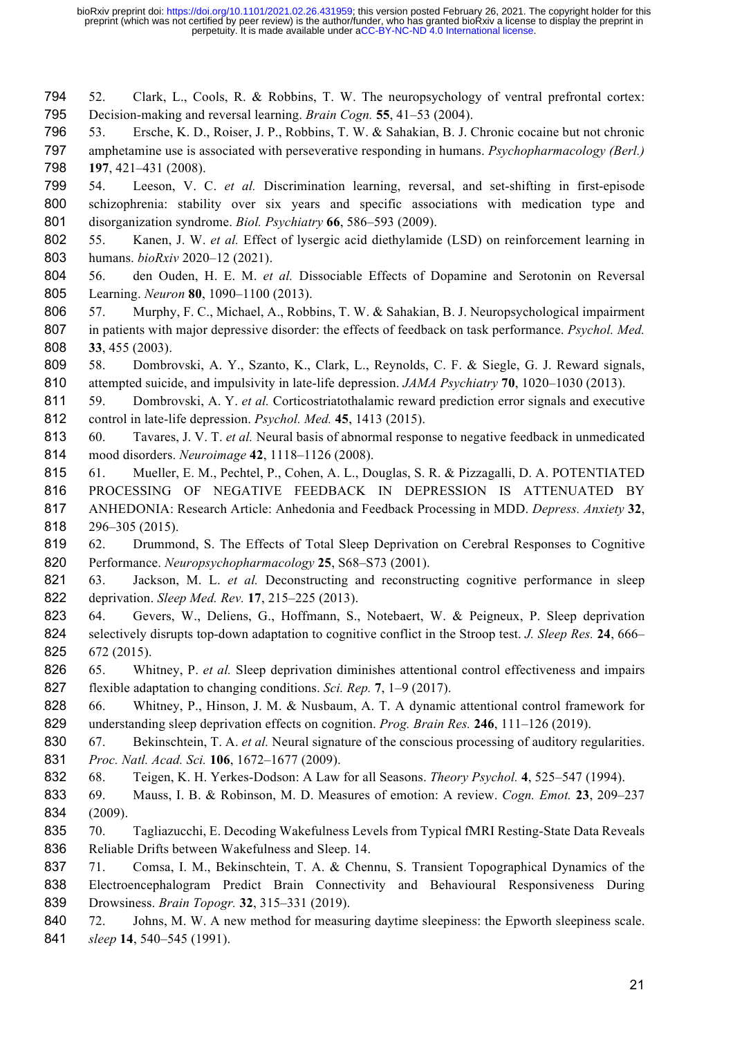52. Clark, L., Cools, R. & Robbins, T. W. The neuropsychology of ventral prefrontal cortex: Decision-making and reversal learning. *Brain Cogn.* **55**, 41–53 (2004).

 53. Ersche, K. D., Roiser, J. P., Robbins, T. W. & Sahakian, B. J. Chronic cocaine but not chronic amphetamine use is associated with perseverative responding in humans. *Psychopharmacology (Berl.)* **197**, 421–431 (2008).

 54. Leeson, V. C. *et al.* Discrimination learning, reversal, and set-shifting in first-episode schizophrenia: stability over six years and specific associations with medication type and disorganization syndrome. *Biol. Psychiatry* **66**, 586–593 (2009).

- 55. Kanen, J. W. *et al.* Effect of lysergic acid diethylamide (LSD) on reinforcement learning in humans. *bioRxiv* 2020–12 (2021).
- 56. den Ouden, H. E. M. *et al.* Dissociable Effects of Dopamine and Serotonin on Reversal Learning. *Neuron* **80**, 1090–1100 (2013).
- 57. Murphy, F. C., Michael, A., Robbins, T. W. & Sahakian, B. J. Neuropsychological impairment in patients with major depressive disorder: the effects of feedback on task performance. *Psychol. Med.* **33**, 455 (2003).
- 58. Dombrovski, A. Y., Szanto, K., Clark, L., Reynolds, C. F. & Siegle, G. J. Reward signals, attempted suicide, and impulsivity in late-life depression. *JAMA Psychiatry* **70**, 1020–1030 (2013).
- 59. Dombrovski, A. Y. *et al.* Corticostriatothalamic reward prediction error signals and executive control in late-life depression. *Psychol. Med.* **45**, 1413 (2015).
- 60. Tavares, J. V. T. *et al.* Neural basis of abnormal response to negative feedback in unmedicated mood disorders. *Neuroimage* **42**, 1118–1126 (2008).
- 61. Mueller, E. M., Pechtel, P., Cohen, A. L., Douglas, S. R. & Pizzagalli, D. A. POTENTIATED PROCESSING OF NEGATIVE FEEDBACK IN DEPRESSION IS ATTENUATED BY
- ANHEDONIA: Research Article: Anhedonia and Feedback Processing in MDD. *Depress. Anxiety* **32**, 296–305 (2015).
- 62. Drummond, S. The Effects of Total Sleep Deprivation on Cerebral Responses to Cognitive Performance. *Neuropsychopharmacology* **25**, S68–S73 (2001).
- 63. Jackson, M. L. *et al.* Deconstructing and reconstructing cognitive performance in sleep deprivation. *Sleep Med. Rev.* **17**, 215–225 (2013).
- 64. Gevers, W., Deliens, G., Hoffmann, S., Notebaert, W. & Peigneux, P. Sleep deprivation selectively disrupts top-down adaptation to cognitive conflict in the Stroop test. *J. Sleep Res.* **24**, 666– 672 (2015).
- 65. Whitney, P. *et al.* Sleep deprivation diminishes attentional control effectiveness and impairs flexible adaptation to changing conditions. *Sci. Rep.* **7**, 1–9 (2017).
- 828 66. Whitney, P., Hinson, J. M. & Nusbaum, A. T. A dynamic attentional control framework for understanding sleep deprivation effects on cognition. *Prog. Brain Res.* **246**, 111–126 (2019).
- 67. Bekinschtein, T. A. *et al.* Neural signature of the conscious processing of auditory regularities. *Proc. Natl. Acad. Sci.* **106**, 1672–1677 (2009).
- 68. Teigen, K. H. Yerkes-Dodson: A Law for all Seasons. *Theory Psychol.* **4**, 525–547 (1994).
- 69. Mauss, I. B. & Robinson, M. D. Measures of emotion: A review. *Cogn. Emot.* **23**, 209–237 (2009).
- 70. Tagliazucchi, E. Decoding Wakefulness Levels from Typical fMRI Resting-State Data Reveals Reliable Drifts between Wakefulness and Sleep. 14.
- 71. Comsa, I. M., Bekinschtein, T. A. & Chennu, S. Transient Topographical Dynamics of the Electroencephalogram Predict Brain Connectivity and Behavioural Responsiveness During Drowsiness. *Brain Topogr.* **32**, 315–331 (2019).
- 840 72. Johns, M. W. A new method for measuring daytime sleepiness: the Epworth sleepiness scale. *sleep* **14**, 540–545 (1991).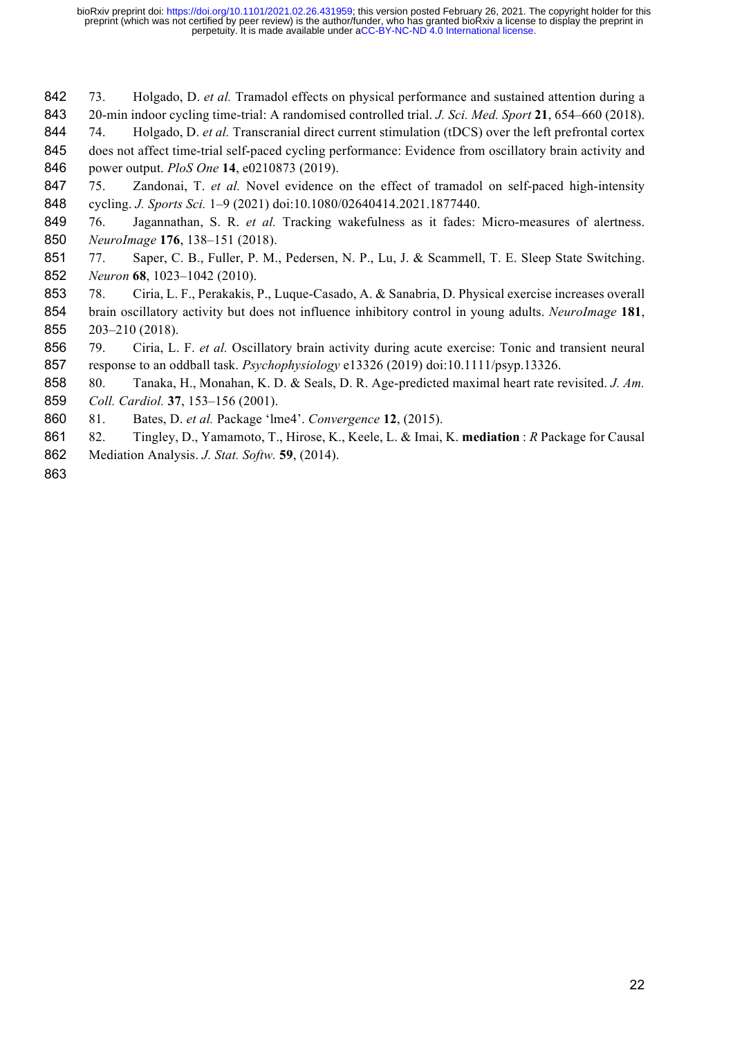- 73. Holgado, D. *et al.* Tramadol effects on physical performance and sustained attention during a 20-min indoor cycling time-trial: A randomised controlled trial. *J. Sci. Med. Sport* **21**, 654–660 (2018).
- 74. Holgado, D. *et al.* Transcranial direct current stimulation (tDCS) over the left prefrontal cortex
- 845 does not affect time-trial self-paced cycling performance: Evidence from oscillatory brain activity and power output. *PloS One* **14**, e0210873 (2019).
- 75. Zandonai, T. *et al.* Novel evidence on the effect of tramadol on self-paced high-intensity cycling. *J. Sports Sci.* 1–9 (2021) doi:10.1080/02640414.2021.1877440.
- 76. Jagannathan, S. R. *et al.* Tracking wakefulness as it fades: Micro-measures of alertness. *NeuroImage* **176**, 138–151 (2018).
- 851 77. Saper, C. B., Fuller, P. M., Pedersen, N. P., Lu, J. & Scammell, T. E. Sleep State Switching. *Neuron* **68**, 1023–1042 (2010).
- 78. Ciria, L. F., Perakakis, P., Luque-Casado, A. & Sanabria, D. Physical exercise increases overall brain oscillatory activity but does not influence inhibitory control in young adults. *NeuroImage* **181**, 203–210 (2018).
- 79. Ciria, L. F. *et al.* Oscillatory brain activity during acute exercise: Tonic and transient neural response to an oddball task. *Psychophysiology* e13326 (2019) doi:10.1111/psyp.13326.
- 80. Tanaka, H., Monahan, K. D. & Seals, D. R. Age-predicted maximal heart rate revisited. *J. Am. Coll. Cardiol.* **37**, 153–156 (2001).
- 81. Bates, D. *et al.* Package 'lme4'. *Convergence* **12**, (2015).
- 82. Tingley, D., Yamamoto, T., Hirose, K., Keele, L. & Imai, K. **mediation** : *R* Package for Causal Mediation Analysis. *J. Stat. Softw.* **59**, (2014).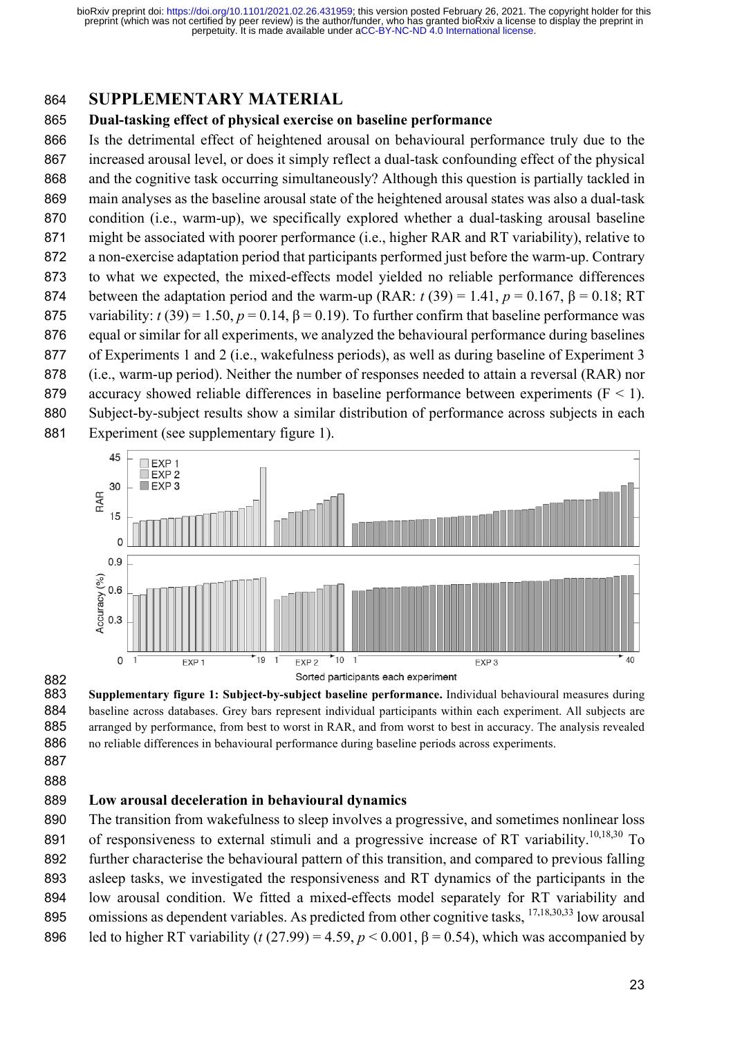### **SUPPLEMENTARY MATERIAL**

#### **Dual-tasking effect of physical exercise on baseline performance**

 Is the detrimental effect of heightened arousal on behavioural performance truly due to the increased arousal level, or does it simply reflect a dual-task confounding effect of the physical and the cognitive task occurring simultaneously? Although this question is partially tackled in main analyses as the baseline arousal state of the heightened arousal states was also a dual-task condition (i.e., warm-up), we specifically explored whether a dual-tasking arousal baseline might be associated with poorer performance (i.e., higher RAR and RT variability), relative to a non-exercise adaptation period that participants performed just before the warm-up. Contrary to what we expected, the mixed-effects model yielded no reliable performance differences 874 between the adaptation period and the warm-up  $(RAR: t (39) = 1.41, p = 0.167, \beta = 0.18; RT$ 875 variability:  $t(39) = 1.50$ ,  $p = 0.14$ ,  $\beta = 0.19$ ). To further confirm that baseline performance was equal or similar for all experiments, we analyzed the behavioural performance during baselines of Experiments 1 and 2 (i.e., wakefulness periods), as well as during baseline of Experiment 3 (i.e., warm-up period). Neither the number of responses needed to attain a reversal (RAR) nor 879 accuracy showed reliable differences in baseline performance between experiments  $(F < 1)$ . Subject-by-subject results show a similar distribution of performance across subjects in each Experiment (see supplementary figure 1).



 **Supplementary figure 1: Subject-by-subject baseline performance.** Individual behavioural measures during 884 baseline across databases. Grey bars represent individual participants within each experiment. All subjects are arranged by performance, from best to worst in RAR, and from worst to best in accuracy. The analysis revealed no reliable differences in behavioural performance during baseline periods across experiments. 

#### **Low arousal deceleration in behavioural dynamics**

 The transition from wakefulness to sleep involves a progressive, and sometimes nonlinear loss 891 of responsiveness to external stimuli and a progressive increase of RT variability.<sup>10,18,30</sup> To further characterise the behavioural pattern of this transition, and compared to previous falling asleep tasks, we investigated the responsiveness and RT dynamics of the participants in the low arousal condition. We fitted a mixed-effects model separately for RT variability and 895 omissions as dependent variables. As predicted from other cognitive tasks, <sup>17,18,30,33</sup> low arousal 896 led to higher RT variability ( $t$  (27.99) = 4.59,  $p < 0.001$ ,  $\beta = 0.54$ ), which was accompanied by